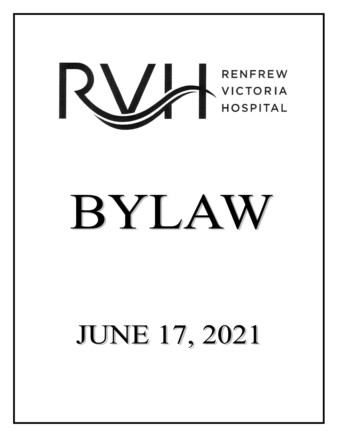

# BYLAW

# **JUNE 17, 2021**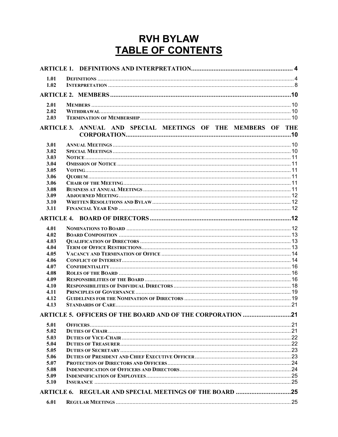# **RVH BYLAW** TABLE OF CONTENTS

| 1.01              |                                                              |  |
|-------------------|--------------------------------------------------------------|--|
| 1.02              |                                                              |  |
|                   |                                                              |  |
| 2.01              |                                                              |  |
| 2.02              |                                                              |  |
| 2.03              |                                                              |  |
|                   | ARTICLE 3. ANNUAL AND SPECIAL MEETINGS OF THE MEMBERS OF THE |  |
| 3.01              |                                                              |  |
| 3.02              |                                                              |  |
| 3.03              |                                                              |  |
| 3.04              |                                                              |  |
| 3.05              |                                                              |  |
| 3.06              |                                                              |  |
| 3.06              |                                                              |  |
| 3.08              |                                                              |  |
| 3.09              |                                                              |  |
| 3.10              |                                                              |  |
| 3.11              |                                                              |  |
|                   |                                                              |  |
| 4.01              |                                                              |  |
| 4.02              |                                                              |  |
| 4.03              |                                                              |  |
| 4.04              |                                                              |  |
| 4.05              |                                                              |  |
| 4.06              |                                                              |  |
| 4.07              |                                                              |  |
| 4.08              |                                                              |  |
| 4.09              |                                                              |  |
| 4.10              |                                                              |  |
| 4.11              |                                                              |  |
| 4.12              |                                                              |  |
| 4.13              |                                                              |  |
|                   | ARTICLE 5. OFFICERS OF THE BOARD AND OF THE CORPORATION 21   |  |
| 5.01              |                                                              |  |
| 5.02              |                                                              |  |
| 5.03              |                                                              |  |
| 5.04              |                                                              |  |
| 5.05              |                                                              |  |
| 5.06              |                                                              |  |
| 5.07              |                                                              |  |
| 5.08              |                                                              |  |
| 5.09              |                                                              |  |
| 5.10              |                                                              |  |
| <b>ARTICLE 6.</b> |                                                              |  |
| 6.01              |                                                              |  |
|                   |                                                              |  |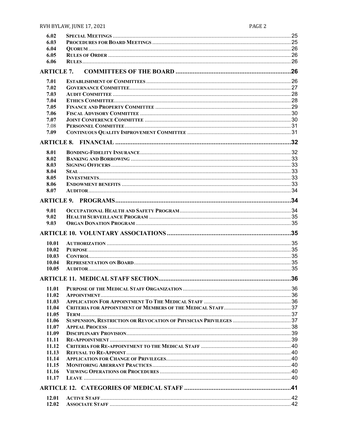| 6.02              |                                           |    |
|-------------------|-------------------------------------------|----|
| 6.03              |                                           |    |
| 6.04              |                                           |    |
| 6.05              |                                           |    |
| 6.06              |                                           |    |
|                   |                                           |    |
| <b>ARTICLE 7.</b> |                                           |    |
|                   |                                           |    |
| 7.01              |                                           |    |
| 7.02              |                                           |    |
| 7.03              |                                           |    |
|                   |                                           |    |
| 7.04              |                                           |    |
| 7.05              |                                           |    |
| 7.06              |                                           |    |
| 7.07              |                                           |    |
| 7.08              |                                           |    |
|                   |                                           |    |
| 7.09              |                                           |    |
|                   |                                           |    |
|                   |                                           |    |
| 8.01              |                                           |    |
| 8.02              |                                           |    |
|                   |                                           |    |
| 8.03              |                                           |    |
| 8.04              |                                           |    |
| 8.05              |                                           |    |
| 8.06              |                                           |    |
| 8.07              |                                           |    |
|                   |                                           |    |
|                   |                                           |    |
|                   |                                           |    |
| 9.01              |                                           |    |
| 9.02              |                                           |    |
|                   |                                           |    |
|                   |                                           |    |
| 9.03              |                                           |    |
|                   |                                           |    |
|                   |                                           |    |
| 10.01             |                                           |    |
| 10.02             |                                           |    |
|                   |                                           |    |
| 10.03             |                                           |    |
| 10.04             |                                           |    |
| 10.05             |                                           |    |
|                   |                                           |    |
|                   | <b>ARTICLE 11. MEDICAL STAFF SECTION.</b> | 36 |
| 11.01             |                                           |    |
|                   |                                           |    |
| 11.02             |                                           |    |
| 11.03             |                                           |    |
| 11.04             |                                           |    |
| 11.05             |                                           |    |
| 11.06             |                                           |    |
|                   |                                           |    |
| 11.07             |                                           |    |
| 11.09             |                                           |    |
| 11.11             |                                           |    |
| 11.12             |                                           |    |
| 11.13             |                                           |    |
| 11.14             |                                           |    |
| 11.15             |                                           |    |
|                   |                                           |    |
| 11.16             |                                           |    |
| 11.17             |                                           |    |
|                   |                                           |    |
|                   |                                           |    |
| 12.01             |                                           |    |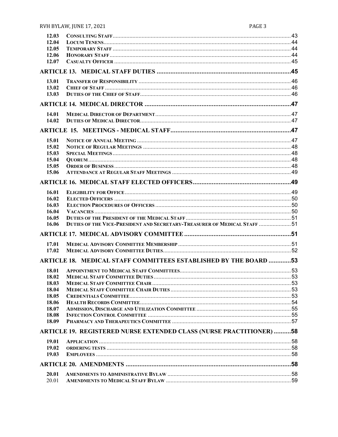| 12.03 |                                                                                  |  |
|-------|----------------------------------------------------------------------------------|--|
| 12.04 |                                                                                  |  |
| 12.05 |                                                                                  |  |
| 12.06 |                                                                                  |  |
| 12.07 |                                                                                  |  |
|       |                                                                                  |  |
| 13.01 |                                                                                  |  |
| 13.02 |                                                                                  |  |
| 13.03 |                                                                                  |  |
|       |                                                                                  |  |
| 14.01 |                                                                                  |  |
| 14.02 |                                                                                  |  |
|       |                                                                                  |  |
| 15.01 |                                                                                  |  |
| 15.02 |                                                                                  |  |
| 15.03 |                                                                                  |  |
| 15.04 |                                                                                  |  |
| 15.05 |                                                                                  |  |
| 15.06 |                                                                                  |  |
|       |                                                                                  |  |
|       |                                                                                  |  |
| 16.01 |                                                                                  |  |
| 16.02 |                                                                                  |  |
| 16.03 |                                                                                  |  |
| 16.04 |                                                                                  |  |
| 16.05 |                                                                                  |  |
| 16.06 | <b>DUTIES OF THE VICE-PRESIDENT AND SECRETARY-TREASURER OF MEDICAL STAFF  51</b> |  |
|       |                                                                                  |  |
| 17.01 |                                                                                  |  |
| 17.02 |                                                                                  |  |
|       | ARTICLE 18. MEDICAL STAFF COMMITTEES ESTABLISHED BY THE BOARD 53                 |  |
| 18.01 |                                                                                  |  |
| 18.02 |                                                                                  |  |
| 18.03 |                                                                                  |  |
| 18.04 |                                                                                  |  |
| 18.05 |                                                                                  |  |
| 18.06 |                                                                                  |  |
| 18.07 |                                                                                  |  |
| 18.08 |                                                                                  |  |
| 18.09 |                                                                                  |  |
|       | <b>ARTICLE 19. REGISTERED NURSE EXTENDED CLASS (NURSE PRACTITIONER) 58</b>       |  |
| 19.01 |                                                                                  |  |
| 19.02 |                                                                                  |  |
| 19.03 |                                                                                  |  |
|       |                                                                                  |  |
|       |                                                                                  |  |
| 20.01 |                                                                                  |  |
| 20.01 |                                                                                  |  |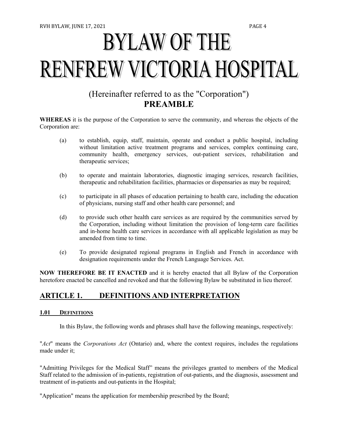# **BYLAW OF THE RENFREW VICTORIA HOSPITAL**

# (Hereinafter referred to as the "Corporation") **PREAMBLE**

**WHEREAS** it is the purpose of the Corporation to serve the community, and whereas the objects of the Corporation are:

- (a) to establish, equip, staff, maintain, operate and conduct a public hospital, including without limitation active treatment programs and services, complex continuing care, community health, emergency services, out-patient services, rehabilitation and therapeutic services;
- (b) to operate and maintain laboratories, diagnostic imaging services, research facilities, therapeutic and rehabilitation facilities, pharmacies or dispensaries as may be required;
- (c) to participate in all phases of education pertaining to health care, including the education of physicians, nursing staff and other health care personnel; and
- (d) to provide such other health care services as are required by the communities served by the Corporation, including without limitation the provision of long-term care facilities and in-home health care services in accordance with all applicable legislation as may be amended from time to time.
- (e) To provide designated regional programs in English and French in accordance with designation requirements under the French Language Services. Act.

**NOW THEREFORE BE IT ENACTED** and it is hereby enacted that all Bylaw of the Corporation heretofore enacted be cancelled and revoked and that the following Bylaw be substituted in lieu thereof.

# <span id="page-4-0"></span>**ARTICLE 1. DEFINITIONS AND INTERPRETATION**

#### <span id="page-4-1"></span>**1.01 DEFINITIONS**

In this Bylaw, the following words and phrases shall have the following meanings, respectively:

"*Act*" means the *Corporations Act* (Ontario) and, where the context requires, includes the regulations made under it;

"Admitting Privileges for the Medical Staff" means the privileges granted to members of the Medical Staff related to the admission of in-patients, registration of out-patients, and the diagnosis, assessment and treatment of in-patients and out-patients in the Hospital;

"Application" means the application for membership prescribed by the Board;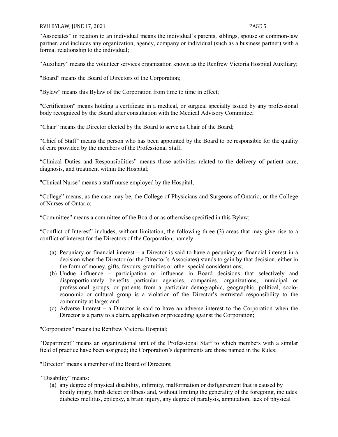#### RVH BYLAW, JUNE 17, 2021 **PAGE 5**

"Associates" in relation to an individual means the individual's parents, siblings, spouse or common-law partner, and includes any organization, agency, company or individual (such as a business partner) with a formal relationship to the individual;

"Auxiliary" means the volunteer services organization known as the Renfrew Victoria Hospital Auxiliary;

"Board" means the Board of Directors of the Corporation;

"Bylaw" means this Bylaw of the Corporation from time to time in effect;

"Certification" means holding a certificate in a medical, or surgical specialty issued by any professional body recognized by the Board after consultation with the Medical Advisory Committee;

"Chair" means the Director elected by the Board to serve as Chair of the Board;

"Chief of Staff" means the person who has been appointed by the Board to be responsible for the quality of care provided by the members of the Professional Staff;

"Clinical Duties and Responsibilities" means those activities related to the delivery of patient care, diagnosis, and treatment within the Hospital;

"Clinical Nurse" means a staff nurse employed by the Hospital;

"College" means, as the case may be, the College of Physicians and Surgeons of Ontario, or the College of Nurses of Ontario;

"Committee" means a committee of the Board or as otherwise specified in this Bylaw;

"Conflict of Interest" includes, without limitation, the following three (3) areas that may give rise to a conflict of interest for the Directors of the Corporation, namely:

- (a) Pecuniary or financial interest a Director is said to have a pecuniary or financial interest in a decision when the Director (or the Director's Associates) stands to gain by that decision, either in the form of money, gifts, favours, gratuities or other special considerations;
- (b) Undue influence participation or influence in Board decisions that selectively and disproportionately benefits particular agencies, companies, organizations, municipal or professional groups, or patients from a particular demographic, geographic, political, socioeconomic or cultural group is a violation of the Director's entrusted responsibility to the community at large; and
- (c) Adverse Interest a Director is said to have an adverse interest to the Corporation when the Director is a party to a claim, application or proceeding against the Corporation;

"Corporation" means the Renfrew Victoria Hospital;

"Department" means an organizational unit of the Professional Staff to which members with a similar field of practice have been assigned; the Corporation's departments are those named in the Rules;

"Director" means a member of the Board of Directors;

"Disability" means:

(a) any degree of physical disability, infirmity, malformation or disfigurement that is caused by bodily injury, birth defect or illness and, without limiting the generality of the foregoing, includes diabetes mellitus, epilepsy, a brain injury, any degree of paralysis, amputation, lack of physical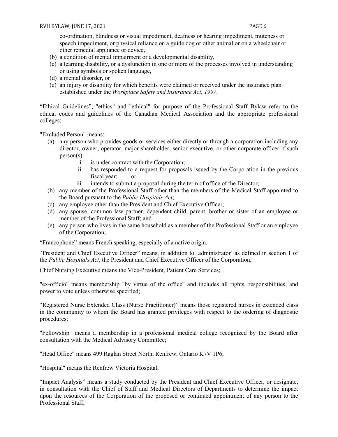co-ordination, blindness or visual impediment, deafness or hearing impediment, muteness or speech impediment, or physical reliance on a guide dog or other animal or on a wheelchair or other remedial appliance or device,

- (b) a condition of mental impairment or a developmental disability,
- (c) a learning disability, or a dysfunction in one or more of the processes involved in understanding or using symbols or spoken language,
- (d) a mental disorder, or
- (e) an injury or disability for which benefits were claimed or received under the insurance plan established under the *Workplace Safety and Insurance Act, 1997*.

"Ethical Guidelines", "ethics" and "ethical" for purpose of the Professional Staff Bylaw refer to the ethical codes and guidelines of the Canadian Medical Association and the appropriate professional colleges;

"Excluded Person" means:

- (a) any person who provides goods or services either directly or through a corporation including any director, owner, operator, major shareholder, senior executive, or other corporate officer if such person(s):
	- i. is under contract with the Corporation;
	- ii. has responded to a request for proposals issued by the Corporation in the previous fiscal year; or
	- iii. intends to submit a proposal during the term of office of the Director;
- (b) any member of the Professional Staff other than the members of the Medical Staff appointed to the Board pursuant to the *Public Hospitals Act*;
- (c) any employee other than the President and Chief Executive Officer;
- (d) any spouse, common law partner, dependent child, parent, brother or sister of an employee or member of the Professional Staff; and
- (e) any person who lives in the same household as a member of the Professional Staff or an employee of the Corporation;

"Francophone" means French speaking, especially of a native origin.

"President and Chief Executive Officer" means, in addition to 'administrator' as defined in section 1 of the *Public Hospitals Act*, the President and Chief Executive Officer of the Corporation;

Chief Nursing Executive means the Vice-President, Patient Care Services;

"ex-officio" means membership "by virtue of the office" and includes all rights, responsibilities, and power to vote unless otherwise specified;

"Registered Nurse Extended Class (Nurse Practitioner)" means those registered nurses in extended class in the community to whom the Board has granted privileges with respect to the ordering of diagnostic procedures;

"Fellowship" means a membership in a professional medical college recognized by the Board after consultation with the Medical Advisory Committee;

"Head Office" means 499 Raglan Street North, Renfrew, Ontario K7V 1P6;

"Hospital" means the Renfrew Victoria Hospital;

"Impact Analysis" means a study conducted by the President and Chief Executive Officer, or designate, in consultation with the Chief of Staff and Medical Directors of Departments to determine the impact upon the resources of the Corporation of the proposed or continued appointment of any person to the Professional Staff;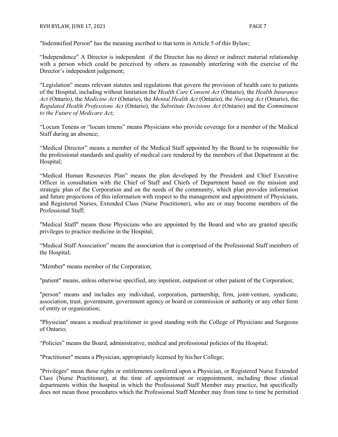"Indemnified Person" has the meaning ascribed to that term in Article 5 of this Bylaw;

"Independence" A Director is independent if the Director has no direct or indirect material relationship with a person which could be perceived by others as reasonably interfering with the exercise of the Director's independent judgement;

"Legislation" means relevant statutes and regulations that govern the provision of health care to patients of the Hospital, including without limitation the *Health Care Consent Act* (Ontario), the *Health Insurance Act* (Ontario), the *Medicine Act* (Ontario), the *Mental Health Act* (Ontario), the *Nursing Act* (Ontario), the *Regulated Health Professions Act* (Ontario), the *Substitute Decisions Act* (Ontario) and the *Commitment to the Future of Medicare Act*;

"Locum Tenens or "locum tenens" means Physicians who provide coverage for a member of the Medical Staff during an absence;

"Medical Director" means a member of the Medical Staff appointed by the Board to be responsible for the professional standards and quality of medical care rendered by the members of that Department at the Hospital;

"Medical Human Resources Plan" means the plan developed by the President and Chief Executive Officer in consultation with the Chief of Staff and Chiefs of Department based on the mission and strategic plan of the Corporation and on the needs of the community, which plan provides information and future projections of this information with respect to the management and appointment of Physicians, and Registered Nurses, Extended Class (Nurse Practitioner), who are or may become members of the Professional Staff;

"Medical Staff" means those Physicians who are appointed by the Board and who are granted specific privileges to practice medicine in the Hospital;

"Medical Staff Association" means the association that is comprised of the Professional Staff members of the Hospital;

"Member" means member of the Corporation;

"patient" means, unless otherwise specified, any inpatient, outpatient or other patient of the Corporation;

"person" means and includes any individual, corporation, partnership, firm, joint-venture, syndicate, association, trust, government, government agency or board or commission or authority or any other form of entity or organization;

"Physician" means a medical practitioner in good standing with the College of Physicians and Surgeons of Ontario;

"Policies" means the Board, administrative, medical and professional policies of the Hospital;

"Practitioner" means a Physician, appropriately licensed by his/her College;

"Privileges" mean those rights or entitlements conferred upon a Physician, or Registered Nurse Extended Class (Nurse Practitioner), at the time of appointment or reappointment, including those clinical departments within the hospital in which the Professional Staff Member may practice, but specifically does not mean those procedures which the Professional Staff Member may from time to time be permitted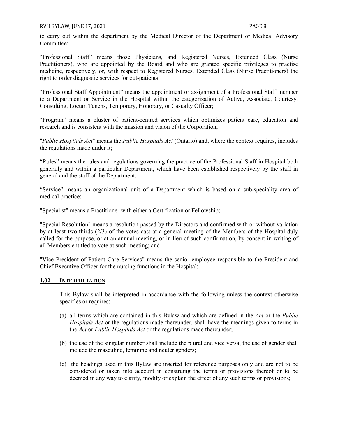RVH BYLAW, JUNE 17, 2021 **PAGE 8** 

to carry out within the department by the Medical Director of the Department or Medical Advisory Committee;

"Professional Staff" means those Physicians, and Registered Nurses, Extended Class (Nurse Practitioners), who are appointed by the Board and who are granted specific privileges to practise medicine, respectively, or, with respect to Registered Nurses, Extended Class (Nurse Practitioners) the right to order diagnostic services for out-patients;

"Professional Staff Appointment" means the appointment or assignment of a Professional Staff member to a Department or Service in the Hospital within the categorization of Active, Associate, Courtesy, Consulting, Locum Tenens, Temporary, Honorary, or Casualty Officer;

"Program" means a cluster of patient-centred services which optimizes patient care, education and research and is consistent with the mission and vision of the Corporation;

"*Public Hospitals Act*" means the *Public Hospitals Act* (Ontario) and, where the context requires, includes the regulations made under it;

"Rules" means the rules and regulations governing the practice of the Professional Staff in Hospital both generally and within a particular Department, which have been established respectively by the staff in general and the staff of the Department;

"Service" means an organizational unit of a Department which is based on a sub-speciality area of medical practice;

"Specialist" means a Practitioner with either a Certification or Fellowship;

"Special Resolution" means a resolution passed by the Directors and confirmed with or without variation by at least two-thirds (2/3) of the votes cast at a general meeting of the Members of the Hospital duly called for the purpose, or at an annual meeting, or in lieu of such confirmation, by consent in writing of all Members entitled to vote at such meeting; and

"Vice President of Patient Care Services" means the senior employee responsible to the President and Chief Executive Officer for the nursing functions in the Hospital;

#### <span id="page-8-0"></span>**1.02 INTERPRETATION**

This Bylaw shall be interpreted in accordance with the following unless the context otherwise specifies or requires:

- (a) all terms which are contained in this Bylaw and which are defined in the *Act* or the *Public Hospitals Act* or the regulations made thereunder, shall have the meanings given to terms in the *Act* or *Public Hospitals Act* or the regulations made thereunder;
- (b) the use of the singular number shall include the plural and vice versa, the use of gender shall include the masculine, feminine and neuter genders;
- (c) the headings used in this Bylaw are inserted for reference purposes only and are not to be considered or taken into account in construing the terms or provisions thereof or to be deemed in any way to clarify, modify or explain the effect of any such terms or provisions;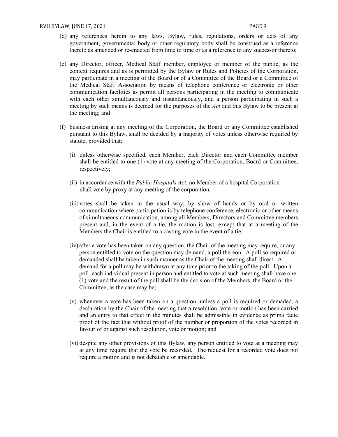- (d) any references herein to any laws, Bylaw, rules, regulations, orders or acts of any government, governmental body or other regulatory body shall be construed as a reference thereto as amended or re-enacted from time to time or as a reference to any successor thereto;
- (e) any Director, officer, Medical Staff member, employee or member of the public, as the context requires and as is permitted by the Bylaw or Rules and Policies of the Corporation, may participate in a meeting of the Board or of a Committee of the Board or a Committee of the Medical Staff Association by means of telephone conference or electronic or other communication facilities as permit all persons participating in the meeting to communicate with each other simultaneously and instantaneously, and a person participating in such a meeting by such means is deemed for the purposes of the *Act* and this Bylaw to be present at the meeting; and
- (f) business arising at any meeting of the Corporation, the Board or any Committee established pursuant to this Bylaw, shall be decided by a majority of votes unless otherwise required by statute, provided that:
	- (i) unless otherwise specified, each Member, each Director and each Committee member shall be entitled to one (1) vote at any meeting of the Corporation, Board or Committee, respectively;
	- (ii) in accordance with the *Public Hospitals Act*, no Member of a hospital Corporation shall vote by proxy at any meeting of the corporation;
	- (iii) votes shall be taken in the usual way, by show of hands or by oral or written communication where participation is by telephone conference, electronic or other means of simultaneous communication, among all Members, Directors and Committee members present and, in the event of a tie, the motion is lost, except that at a meeting of the Members the Chair is entitled to a casting vote in the event of a tie;
	- (iv) after a vote has been taken on any question, the Chair of the meeting may require, or any person entitled to vote on the question may demand, a poll thereon. A poll so required or demanded shall be taken in such manner as the Chair of the meeting shall direct. A demand for a poll may be withdrawn at any time prior to the taking of the poll. Upon a poll, each individual present in person and entitled to vote at such meeting shall have one (1) vote and the result of the poll shall be the decision of the Members, the Board or the Committee, as the case may be;
	- (v) whenever a vote has been taken on a question, unless a poll is required or demaded, a declaration by the Chair of the meeting that a resolution, vote or motion has been carried and an entry to that effect in the minutes shall be admissible in evidence as prima facie proof of the fact that without proof of the number or proportion of the votes recorded in favour of or against such resolution, vote or motion; and
	- (vi) despite any other provisions of this Bylaw, any person entitled to vote at a meeting may at any time require that the vote be recorded. The request for a recorded vote does not require a motion and is not debatable or amendable.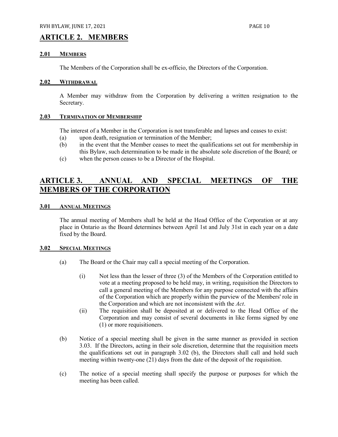#### <span id="page-10-0"></span>**ARTICLE 2. MEMBERS**

#### <span id="page-10-1"></span>**2.01 MEMBERS**

The Members of the Corporation shall be ex-officio, the Directors of the Corporation.

#### <span id="page-10-2"></span>**2.02 WITHDRAWAL**

A Member may withdraw from the Corporation by delivering a written resignation to the Secretary.

#### <span id="page-10-3"></span>**2.03 TERMINATION OF MEMBERSHIP**

The interest of a Member in the Corporation is not transferable and lapses and ceases to exist:

- (a) upon death, resignation or termination of the Member;
- (b) in the event that the Member ceases to meet the qualifications set out for membership in this Bylaw, such determination to be made in the absolute sole discretion of the Board; or
- (c) when the person ceases to be a Director of the Hospital.

# <span id="page-10-4"></span>**ARTICLE 3. ANNUAL AND SPECIAL MEETINGS OF THE MEMBERS OF THE CORPORATION**

#### <span id="page-10-5"></span>**3.01 ANNUAL MEETINGS**

The annual meeting of Members shall be held at the Head Office of the Corporation or at any place in Ontario as the Board determines between April 1st and July 31st in each year on a date fixed by the Board.

#### <span id="page-10-6"></span>**3.02 SPECIAL MEETINGS**

- (a) The Board or the Chair may call a special meeting of the Corporation.
	- (i) Not less than the lesser of three (3) of the Members of the Corporation entitled to vote at a meeting proposed to be held may, in writing, requisition the Directors to call a general meeting of the Members for any purpose connected with the affairs of the Corporation which are properly within the purview of the Members' role in the Corporation and which are not inconsistent with the *Act*.
	- (ii) The requisition shall be deposited at or delivered to the Head Office of the Corporation and may consist of several documents in like forms signed by one (1) or more requisitioners.
- (b) Notice of a special meeting shall be given in the same manner as provided in section 3.03. If the Directors, acting in their sole discretion, determine that the requisition meets the qualifications set out in paragraph 3.02 (b), the Directors shall call and hold such meeting within twenty-one (21) days from the date of the deposit of the requisition.
- (c) The notice of a special meeting shall specify the purpose or purposes for which the meeting has been called.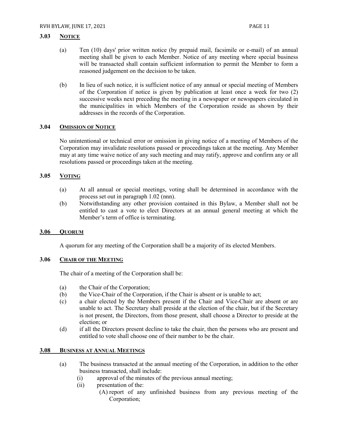#### <span id="page-11-0"></span>**3.03 NOTICE**

- (a) Ten (10) days' prior written notice (by prepaid mail, facsimile or e-mail) of an annual meeting shall be given to each Member. Notice of any meeting where special business will be transacted shall contain sufficient information to permit the Member to form a reasoned judgement on the decision to be taken.
- (b) In lieu of such notice, it is sufficient notice of any annual or special meeting of Members of the Corporation if notice is given by publication at least once a week for two (2) successive weeks next preceding the meeting in a newspaper or newspapers circulated in the municipalities in which Members of the Corporation reside as shown by their addresses in the records of the Corporation.

#### <span id="page-11-1"></span>**3.04 OMISSION OF NOTICE**

No unintentional or technical error or omission in giving notice of a meeting of Members of the Corporation may invalidate resolutions passed or proceedings taken at the meeting. Any Member may at any time waive notice of any such meeting and may ratify, approve and confirm any or all resolutions passed or proceedings taken at the meeting.

#### <span id="page-11-2"></span>**3.05 VOTING**

- (a) At all annual or special meetings, voting shall be determined in accordance with the process set out in paragraph 1.02 (nnn).
- (b) Notwithstanding any other provision contained in this Bylaw, a Member shall not be entitled to cast a vote to elect Directors at an annual general meeting at which the Member's term of office is terminating.

#### <span id="page-11-3"></span>**3.06 QUORUM**

A quorum for any meeting of the Corporation shall be a majority of its elected Members.

#### <span id="page-11-4"></span>**3.06 CHAIR OF THE MEETING**

The chair of a meeting of the Corporation shall be:

- (a) the Chair of the Corporation;
- (b) the Vice-Chair of the Corporation, if the Chair is absent or is unable to act;
- (c) a chair elected by the Members present if the Chair and Vice-Chair are absent or are unable to act. The Secretary shall preside at the election of the chair, but if the Secretary is not present, the Directors, from those present, shall choose a Director to preside at the election; or
- (d) if all the Directors present decline to take the chair, then the persons who are present and entitled to vote shall choose one of their number to be the chair.

#### <span id="page-11-5"></span>**3.08 BUSINESS AT ANNUAL MEETINGS**

- (a) The business transacted at the annual meeting of the Corporation, in addition to the other business transacted, shall include:
	- (i) approval of the minutes of the previous annual meeting;
	- (ii) presentation of the:
		- (A) report of any unfinished business from any previous meeting of the Corporation;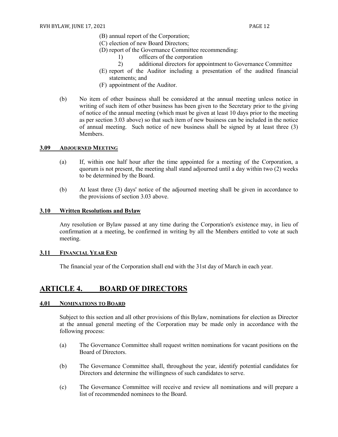- (B) annual report of the Corporation;
	- (C) election of new Board Directors;
	- (D) report of the Governance Committee recommending:
		- 1) officers of the corporation
		- 2) additional directors for appointment to Governance Committee
	- (E) report of the Auditor including a presentation of the audited financial statements; and
	- (F) appointment of the Auditor.
- (b) No item of other business shall be considered at the annual meeting unless notice in writing of such item of other business has been given to the Secretary prior to the giving of notice of the annual meeting (which must be given at least 10 days prior to the meeting as per section 3.03 above) so that such item of new business can be included in the notice of annual meeting. Such notice of new business shall be signed by at least three (3) Members.

#### <span id="page-12-0"></span>**3.09 ADJOURNED MEETING**

- (a) If, within one half hour after the time appointed for a meeting of the Corporation, a quorum is not present, the meeting shall stand adjourned until a day within two (2) weeks to be determined by the Board.
- (b) At least three (3) days' notice of the adjourned meeting shall be given in accordance to the provisions of section 3.03 above.

#### <span id="page-12-1"></span>**3.10 Written Resolutions and Bylaw**

Any resolution or Bylaw passed at any time during the Corporation's existence may, in lieu of confirmation at a meeting, be confirmed in writing by all the Members entitled to vote at such meeting.

#### <span id="page-12-2"></span>**3.11 FINANCIAL YEAR END**

The financial year of the Corporation shall end with the 31st day of March in each year.

### <span id="page-12-3"></span>**ARTICLE 4. BOARD OF DIRECTORS**

#### <span id="page-12-4"></span>**4.01 NOMINATIONS TO BOARD**

Subject to this section and all other provisions of this Bylaw, nominations for election as Director at the annual general meeting of the Corporation may be made only in accordance with the following process:

- (a) The Governance Committee shall request written nominations for vacant positions on the Board of Directors.
- (b) The Governance Committee shall, throughout the year, identify potential candidates for Directors and determine the willingness of such candidates to serve.
- (c) The Governance Committee will receive and review all nominations and will prepare a list of recommended nominees to the Board.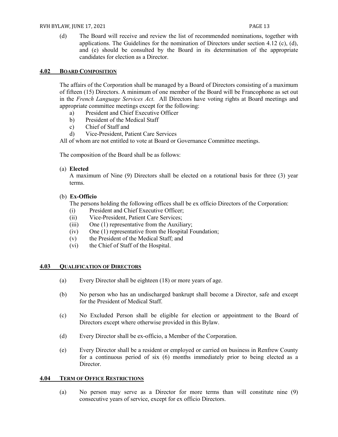(d) The Board will receive and review the list of recommended nominations, together with applications. The Guidelines for the nomination of Directors under section 4.12 (c), (d), and (e) should be consulted by the Board in its determination of the appropriate candidates for election as a Director.

#### <span id="page-13-0"></span>**4.02 BOARD COMPOSITION**

The affairs of the Corporation shall be managed by a Board of Directors consisting of a maximum of fifteen (15) Directors. A minimum of one member of the Board will be Francophone as set out in the *French Language Services Act*. All Directors have voting rights at Board meetings and appropriate committee meetings except for the following:

- a) President and Chief Executive Officer
- b) President of the Medical Staff
- c) Chief of Staff and
- d) Vice-President, Patient Care Services

All of whom are not entitled to vote at Board or Governance Committee meetings.

The composition of the Board shall be as follows:

#### (a) **Elected**

A maximum of Nine (9) Directors shall be elected on a rotational basis for three (3) year terms.

#### (b) **Ex-Officio**

The persons holding the following offices shall be ex officio Directors of the Corporation:

- (i) President and Chief Executive Officer;
- (ii) Vice-President, Patient Care Services;
- (iii) One (1) representative from the Auxiliary;
- (iv) One (1) representative from the Hospital Foundation;
- (v) the President of the Medical Staff; and
- (vi) the Chief of Staff of the Hospital.

#### <span id="page-13-1"></span>**4.03 QUALIFICATION OF DIRECTORS**

- (a) Every Director shall be eighteen (18) or more years of age.
- (b) No person who has an undischarged bankrupt shall become a Director, safe and except for the President of Medical Staff.
- (c) No Excluded Person shall be eligible for election or appointment to the Board of Directors except where otherwise provided in this Bylaw.
- (d) Every Director shall be ex-officio, a Member of the Corporation.
- (e) Every Director shall be a resident or employed or carried on business in Renfrew County for a continuous period of six (6) months immediately prior to being elected as a Director.

#### <span id="page-13-2"></span>**4.04 TERM OF OFFICE RESTRICTIONS**

(a) No person may serve as a Director for more terms than will constitute nine (9) consecutive years of service, except for ex officio Directors.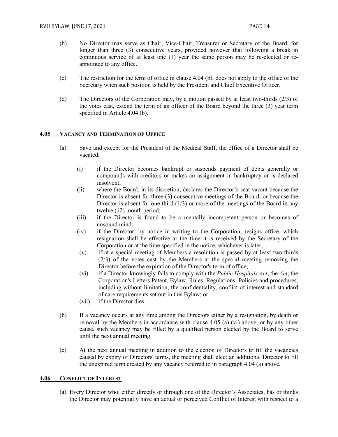- (b) No Director may serve as Chair, Vice-Chair, Treasurer or Secretary of the Board, for longer than three (3) consecutive years, provided however that following a break in continuous service of at least one (1) year the same person may be re-elected or reappointed to any office.
- (c) The restriction for the term of office in clause 4.04 (b), does not apply to the office of the Secretary when such position is held by the President and Chief Executive Officer.
- (d) The Directors of the Corporation may, by a motion passed by at least two-thirds (2/3) of the votes cast, extend the term of an officer of the Board beyond the three (3) year term specified in Article 4.04 (b).

#### <span id="page-14-0"></span>**4.05 VACANCY AND TERMINATION OF OFFICE**

- (a) Save and except for the President of the Medical Staff, the office of a Director shall be vacated:
	- (i) if the Director becomes bankrupt or suspends payment of debts generally or compounds with creditors or makes an assignment in bankruptcy or is declared insolvent;
	- (ii) where the Board, in its discretion, declares the Director's seat vacant because the Director is absent for three (3) consecutive meetings of the Board, or because the Director is absent for one-third  $(1/3)$  or more of the meetings of the Board in any twelve (12) month period;
	- (iii) if the Director is found to be a mentally incompetent person or becomes of unsound mind;
	- (iv) if the Director, by notice in writing to the Corporation, resigns office, which resignation shall be effective at the time it is received by the Secretary of the Corporation or at the time specified in the notice, whichever is later;
	- (v) if at a special meeting of Members a resolution is passed by at least two-thirds (2/3) of the votes cast by the Members at the special meeting removing the Director before the expiration of the Director's term of office;
	- (vi) if a Director knowingly fails to comply with the *Public Hospitals Act*, the *Act*, the Corporation's Letters Patent, Bylaw, Rules, Regulations, Policies and procedures, including without limitation, the confidentiality, conflict of interest and standard of care requirements set out in this Bylaw; or
	- (vii) if the Director dies.
- (b) If a vacancy occurs at any time among the Directors either by a resignation, by death or removal by the Members in accordance with clause 4.05 (a) (vi) above, or by any other cause, such vacancy may be filled by a qualified person elected by the Board to serve until the next annual meeting.
- (c) At the next annual meeting in addition to the election of Directors to fill the vacancies caused by expiry of Directors' terms, the meeting shall elect an additional Director to fill the unexpired term created by any vacancy referred to in paragraph 4.04 (a) above.

#### <span id="page-14-1"></span>**4.06 CONFLICT OF INTEREST**

(a) Every Director who, either directly or through one of the Director's Associates, has or thinks the Director may potentially have an actual or perceived Conflict of Interest with respect to a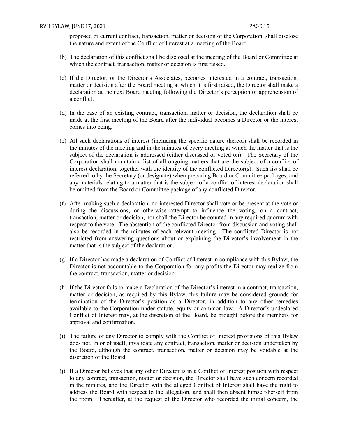proposed or current contract, transaction, matter or decision of the Corporation, shall disclose the nature and extent of the Conflict of Interest at a meeting of the Board.

- (b) The declaration of this conflict shall be disclosed at the meeting of the Board or Committee at which the contract, transaction, matter or decision is first raised.
- (c) If the Director, or the Director's Associates, becomes interested in a contract, transaction, matter or decision after the Board meeting at which it is first raised, the Director shall make a declaration at the next Board meeting following the Director's perception or apprehension of a conflict.
- (d) In the case of an existing contract, transaction, matter or decision, the declaration shall be made at the first meeting of the Board after the individual becomes a Director or the interest comes into being.
- (e) All such declarations of interest (including the specific nature thereof) shall be recorded in the minutes of the meeting and in the minutes of every meeting at which the matter that is the subject of the declaration is addressed (either discussed or voted on). The Secretary of the Corporation shall maintain a list of all ongoing matters that are the subject of a conflict of interest declaration, together with the identity of the conflicted Director(s). Such list shall be referred to by the Secretary (or designate) when preparing Board or Committee packages, and any materials relating to a matter that is the subject of a conflict of interest declaration shall be omitted from the Board or Committee package of any conflicted Director.
- (f) After making such a declaration, no interested Director shall vote or be present at the vote or during the discussions, or otherwise attempt to influence the voting, on a contract, transaction, matter or decision, nor shall the Director be counted in any required quorum with respect to the vote. The abstention of the conflicted Director from discussion and voting shall also be recorded in the minutes of each relevant meeting. The conflicted Director is not restricted from answering questions about or explaining the Director's involvement in the matter that is the subject of the declaration.
- (g) If a Director has made a declaration of Conflict of Interest in compliance with this Bylaw, the Director is not accountable to the Corporation for any profits the Director may realize from the contract, transaction, matter or decision.
- (h) If the Director fails to make a Declaration of the Director's interest in a contract, transaction, matter or decision, as required by this Bylaw, this failure may be considered grounds for termination of the Director's position as a Director, in addition to any other remedies available to the Corporation under statute, equity or common law. A Director's undeclared Conflict of Interest may, at the discretion of the Board, be brought before the members for approval and confirmation.
- (i) The failure of any Director to comply with the Conflict of Interest provisions of this Bylaw does not, in or of itself, invalidate any contract, transaction, matter or decision undertaken by the Board, although the contract, transaction, matter or decision may be voidable at the discretion of the Board.
- (j) If a Director believes that any other Director is in a Conflict of Interest position with respect to any contract, transaction, matter or decision, the Director shall have such concern recorded in the minutes, and the Director with the alleged Conflict of Interest shall have the right to address the Board with respect to the allegation, and shall then absent himself/herself from the room. Thereafter, at the request of the Director who recorded the initial concern, the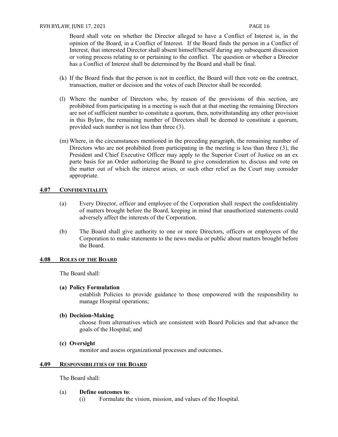Board shall vote on whether the Director alleged to have a Conflict of Interest is, in the opinion of the Board, in a Conflict of Interest. If the Board finds the person in a Conflict of Interest, that interested Director shall absent himself/herself during any subsequent discussion or voting process relating to or pertaining to the conflict. The question or whether a Director has a Conflict of Interest shall be determined by the Board and shall be final.

- (k) If the Board finds that the person is not in conflict, the Board will then vote on the contract, transaction, matter or decision and the votes of each Director shall be recorded.
- (l) Where the number of Directors who, by reason of the provisions of this section, are prohibited from participating in a meeting is such that at that meeting the remaining Directors are not of sufficient number to constitute a quorum, then, notwithstanding any other provision in this Bylaw, the remaining number of Directors shall be deemed to constitute a quorum, provided such number is not less than three (3).
- (m) Where, in the circumstances mentioned in the preceding paragraph, the remaining number of Directors who are not prohibited from participating in the meeting is less than three (3), the President and Chief Executive Officer may apply to the Superior Court of Justice on an ex parte basis for an Order authorizing the Board to give consideration to, discuss and vote on the matter out of which the interest arises, or such other relief as the Court may consider appropriate.

#### <span id="page-16-0"></span>**4.07 CONFIDENTIALITY**

- (a) Every Director, officer and employee of the Corporation shall respect the confidentiality of matters brought before the Board, keeping in mind that unauthorized statements could adversely affect the interests of the Corporation.
- (b) The Board shall give authority to one or more Directors, officers or employees of the Corporation to make statements to the news media or public about matters brought before the Board.

#### <span id="page-16-1"></span>**4.08 ROLES OF THE BOARD**

The Board shall:

#### **(a) Policy Formulation**

establish Policies to provide guidance to those empowered with the responsibility to manage Hospital operations;

#### **(b) Decision-Making**

choose from alternatives which are consistent with Board Policies and that advance the goals of the Hospital; and

#### **(c) Oversight**

monitor and assess organizational processes and outcomes.

#### <span id="page-16-2"></span>**4.09 RESPONSIBILITIES OF THE BOARD**

The Board shall:

#### (a) **Define outcomes to**:

(i) Formulate the vision, mission, and values of the Hospital.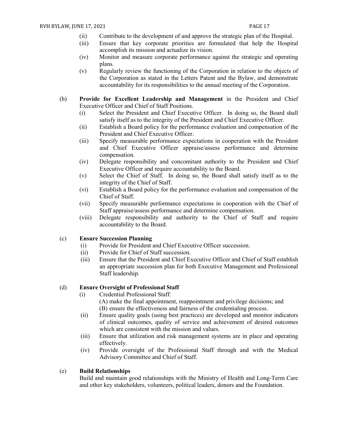- (ii) Contribute to the development of and approve the strategic plan of the Hospital.
- (iii) Ensure that key corporate priorities are formulated that help the Hospital accomplish its mission and actualize its vision.
- (iv) Monitor and measure corporate performance against the strategic and operating plans.
- (v) Regularly review the functioning of the Corporation in relation to the objects of the Corporation as stated in the Letters Patent and the Bylaw, and demonstrate accountability for its responsibilities to the annual meeting of the Corporation.
- (b) **Provide for Excellent Leadership and Management** in the President and Chief Executive Officer and Chief of Staff Positions.
	- (i) Select the President and Chief Executive Officer. In doing so, the Board shall satisfy itself as to the integrity of the President and Chief Executive Officer.
	- (ii) Establish a Board policy for the performance evaluation and compensation of the President and Chief Executive Officer.
	- (iii) Specify measurable performance expectations in cooperation with the President and Chief Executive Officer appraise/assess performance and determine compensation.
	- (iv) Delegate responsibility and concomitant authority to the President and Chief Executive Officer and require accountability to the Board.
	- (v) Select the Chief of Staff. In doing so, the Board shall satisfy itself as to the integrity of the Chief of Staff.
	- (vi) Establish a Board policy for the performance evaluation and compensation of the Chief of Staff.
	- (vii) Specify measurable performance expectations in cooperation with the Chief of Staff appraise/assess performance and determine compensation.
	- (viii) Delegate responsibility and authority to the Chief of Staff and require accountability to the Board.

#### (c) **Ensure Succession Planning**

- (i) Provide for President and Chief Executive Officer succession.
- (ii) Provide for Chief of Staff succession.
- (iii) Ensure that the President and Chief Executive Officer and Chief of Staff establish an appropriate succession plan for both Executive Management and Professional Staff leadership.

#### (d) **Ensure Oversight of Professional Staff**

- (i) Credential Professional Staff:
	- (A) make the final appointment, reappointment and privilege decisions; and (B) ensure the effectiveness and fairness of the credentialing process.
- (ii) Ensure quality goals (using best practices) are developed and monitor indicators of clinical outcomes, quality of service and achievement of desired outcomes which are consistent with the mission and values.
- (iii) Ensure that utilization and risk management systems are in place and operating effectively.
- (iv) Provide oversight of the Professional Staff through and with the Medical Advisory Committee and Chief of Staff.

#### (e) **Build Relationships**

Build and maintain good relationships with the Ministry of Health and Long-Term Care and other key stakeholders, volunteers, political leaders, donors and the Foundation.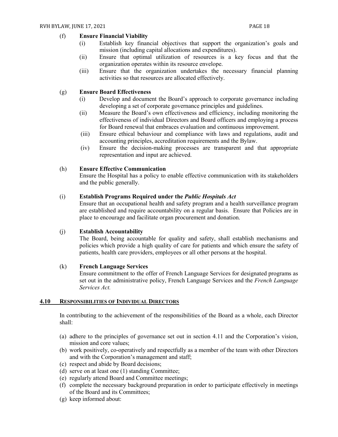#### (f) **Ensure Financial Viability**

- (i) Establish key financial objectives that support the organization's goals and mission (including capital allocations and expenditures).
- (ii) Ensure that optimal utilization of resources is a key focus and that the organization operates within its resource envelope.
- (iii) Ensure that the organization undertakes the necessary financial planning activities so that resources are allocated effectively.

#### (g) **Ensure Board Effectiveness**

- (i) Develop and document the Board's approach to corporate governance including developing a set of corporate governance principles and guidelines.
- (ii) Measure the Board's own effectiveness and efficiency, including monitoring the effectiveness of individual Directors and Board officers and employing a process for Board renewal that embraces evaluation and continuous improvement.
- (iii) Ensure ethical behaviour and compliance with laws and regulations, audit and accounting principles, accreditation requirements and the Bylaw.
- (iv) Ensure the decision-making processes are transparent and that appropriate representation and input are achieved.

#### (h) **Ensure Effective Communication**

Ensure the Hospital has a policy to enable effective communication with its stakeholders and the public generally.

#### (i) **Establish Programs Required under the** *Public Hospitals Act*

Ensure that an occupational health and safety program and a health surveillance program are established and require accountability on a regular basis. Ensure that Policies are in place to encourage and facilitate organ procurement and donation.

#### (j) **Establish Accountability**

The Board, being accountable for quality and safety, shall establish mechanisms and policies which provide a high quality of care for patients and which ensure the safety of patients, health care providers, employees or all other persons at the hospital.

#### (k) **French Language Services**

Ensure commitment to the offer of French Language Services for designated programs as set out in the administrative policy, French Language Services and the *French Language Services Act.*

#### <span id="page-18-0"></span>**4.10 RESPONSIBILITIES OF INDIVIDUAL DIRECTORS**

In contributing to the achievement of the responsibilities of the Board as a whole, each Director shall:

- (a) adhere to the principles of governance set out in section 4.11 and the Corporation's vision, mission and core values;
- (b) work positively, co-operatively and respectfully as a member of the team with other Directors and with the Corporation's management and staff;
- (c) respect and abide by Board decisions;
- (d) serve on at least one (1) standing Committee;
- (e) regularly attend Board and Committee meetings;
- (f) complete the necessary background preparation in order to participate effectively in meetings of the Board and its Committees;
- (g) keep informed about: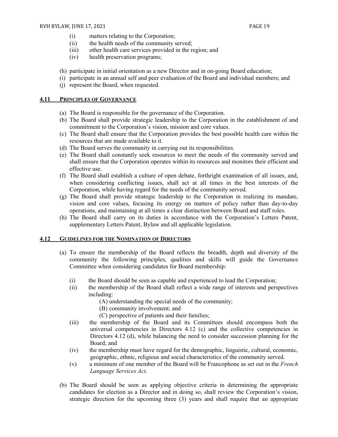- (i) matters relating to the Corporation;
- (ii) the health needs of the community served;
- (iii) other health care services provided in the region; and
- (iv) health preservation programs;
- (h) participate in initial orientation as a new Director and in on-going Board education;
- (i) participate in an annual self and peer evaluation of the Board and individual members; and
- (j) represent the Board, when requested.

#### <span id="page-19-0"></span>**4.11 PRINCIPLES OF GOVERNANCE**

- (a) The Board is responsible for the governance of the Corporation.
- (b) The Board shall provide strategic leadership to the Corporation in the establishment of and commitment to the Corporation's vision, mission and core values.
- (c) The Board shall ensure that the Corporation provides the best possible health care within the resources that are made available to it.
- (d) The Board serves the community in carrying out its responsibilities.
- (e) The Board shall constantly seek resources to meet the needs of the community served and shall ensure that the Corporation operates within its resources and monitors their efficient and effective use.
- (f) The Board shall establish a culture of open debate, forthright examination of all issues, and, when considering conflicting issues, shall act at all times in the best interests of the Corporation, while having regard for the needs of the community served.
- (g) The Board shall provide strategic leadership to the Corporation in realizing its mandate, vision and core values, focusing its energy on matters of policy rather than day-to-day operations, and maintaining at all times a clear distinction between Board and staff roles.
- (h) The Board shall carry on its duties in accordance with the Corporation's Letters Patent, supplementary Letters Patent, Bylaw and all applicable legislation.

#### <span id="page-19-1"></span>**4.12 GUIDELINES FOR THE NOMINATION OF DIRECTORS**

- (a) To ensure the membership of the Board reflects the breadth, depth and diversity of the community the following principles, qualities and skills will guide the Governance Committee when considering candidates for Board membership:
	- (i) the Board should be seen as capable and experienced to lead the Corporation;
	- (ii) the membership of the Board shall reflect a wide range of interests and perspectives including:
		- (A) understanding the special needs of the community;
		- (B) community involvement; and
		- (C) perspective of patients and their families;
	- (iii) the membership of the Board and its Committees should encompass both the universal competencies in Directors 4.12 (c) and the collective competencies in Directors 4.12 (d), while balancing the need to consider succession planning for the Board; and
	- (iv) the membership must have regard for the demographic, linguistic, cultural, economic, geographic, ethnic, religious and social characteristics of the community served.
	- (v) a minimum of one member of the Board will be Francophone as set out in the *French Language Services Act*.
- (b) The Board should be seen as applying objective criteria in determining the appropriate candidates for election as a Director and in doing so, shall review the Corporation's vision, strategic direction for the upcoming three (3) years and shall require that an appropriate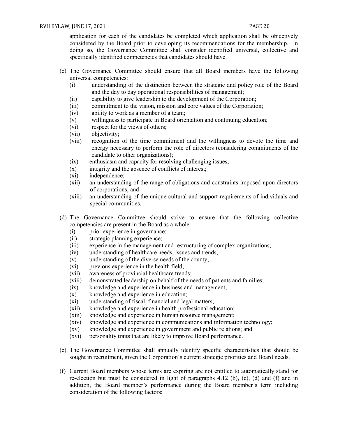application for each of the candidates be completed which application shall be objectively considered by the Board prior to developing its recommendations for the membership. In doing so, the Governance Committee shall consider identified universal, collective and specifically identified competencies that candidates should have.

- (c) The Governance Committee should ensure that all Board members have the following universal competencies:
	- (i) understanding of the distinction between the strategic and policy role of the Board and the day to day operational responsibilities of management;
	- (ii) capability to give leadership to the development of the Corporation;
	- (iii) commitment to the vision, mission and core values of the Corporation;
	- (iv) ability to work as a member of a team;
	- (v) willingness to participate in Board orientation and continuing education;
	- (vi) respect for the views of others;
	- (vii) objectivity;
	- (viii) recognition of the time commitment and the willingness to devote the time and energy necessary to perform the role of directors (considering commitments of the candidate to other organizations);
	- (ix) enthusiasm and capacity for resolving challenging issues;
	- (x) integrity and the absence of conflicts of interest;
	- (xi) independence;
	- (xii) an understanding of the range of obligations and constraints imposed upon directors of corporations; and
	- (xiii) an understanding of the unique cultural and support requirements of individuals and special communities.
- (d) The Governance Committee should strive to ensure that the following collective competencies are present in the Board as a whole:
	- (i) prior experience in governance;
	- (ii) strategic planning experience;
	- (iii) experience in the management and restructuring of complex organizations;
	- (iv) understanding of healthcare needs, issues and trends;
	- (v) understanding of the diverse needs of the county;
	- (vi) previous experience in the health field;
	- (vii) awareness of provincial healthcare trends;
	- (viii) demonstrated leadership on behalf of the needs of patients and families;
	- (ix) knowledge and experience in business and management;
	- (x) knowledge and experience in education;
	- (xi) understanding of fiscal, financial and legal matters;
	- (xii) knowledge and experience in health professional education;
	- (xiii) knowledge and experience in human resource management;
	- (xiv) knowledge and experience in communications and information technology;
	- (xv) knowledge and experience in government and public relations; and
	- (xvi) personality traits that are likely to improve Board performance.
- (e) The Governance Committee shall annually identify specific characteristics that should be sought in recruitment, given the Corporation's current strategic priorities and Board needs.
- (f) Current Board members whose terms are expiring are not entitled to automatically stand for re-election but must be considered in light of paragraphs 4.12 (b), (c), (d) and (f) and in addition, the Board member's performance during the Board member's term including consideration of the following factors: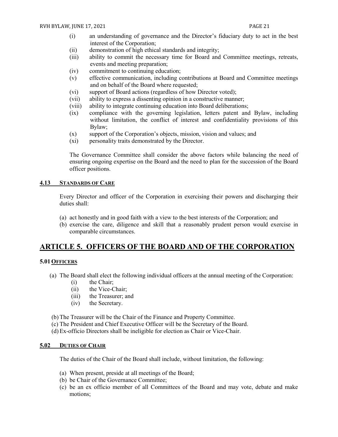- (i) an understanding of governance and the Director's fiduciary duty to act in the best interest of the Corporation;
- (ii) demonstration of high ethical standards and integrity;
- (iii) ability to commit the necessary time for Board and Committee meetings, retreats, events and meeting preparation;
- (iv) commitment to continuing education;
- (v) effective communication, including contributions at Board and Committee meetings and on behalf of the Board where requested;
- (vi) support of Board actions (regardless of how Director voted);
- (vii) ability to express a dissenting opinion in a constructive manner;
- (viii) ability to integrate continuing education into Board deliberations;
- (ix) compliance with the governing legislation, letters patent and Bylaw, including without limitation, the conflict of interest and confidentiality provisions of this Bylaw;
- (x) support of the Corporation's objects, mission, vision and values; and
- (xi) personality traits demonstrated by the Director.

The Governance Committee shall consider the above factors while balancing the need of ensuring ongoing expertise on the Board and the need to plan for the succession of the Board officer positions.

#### <span id="page-21-0"></span>**4.13 STANDARDS OF CARE**

Every Director and officer of the Corporation in exercising their powers and discharging their duties shall:

- (a) act honestly and in good faith with a view to the best interests of the Corporation; and
- (b) exercise the care, diligence and skill that a reasonably prudent person would exercise in comparable circumstances.

# <span id="page-21-1"></span>**ARTICLE 5. OFFICERS OF THE BOARD AND OF THE CORPORATION**

#### <span id="page-21-2"></span>**5.01OFFICERS**

- (a) The Board shall elect the following individual officers at the annual meeting of the Corporation:
	- (i) the Chair;
	- (ii) the Vice-Chair;
	- (iii) the Treasurer; and
	- (iv) the Secretary.

(b) The Treasurer will be the Chair of the Finance and Property Committee.

- (c) The President and Chief Executive Officer will be the Secretary of the Board.
- (d) Ex-officio Directors shall be ineligible for election as Chair or Vice-Chair.

#### <span id="page-21-3"></span>**5.02 DUTIES OF CHAIR**

The duties of the Chair of the Board shall include, without limitation, the following:

- (a) When present, preside at all meetings of the Board;
- (b) be Chair of the Governance Committee;
- (c) be an ex officio member of all Committees of the Board and may vote, debate and make motions;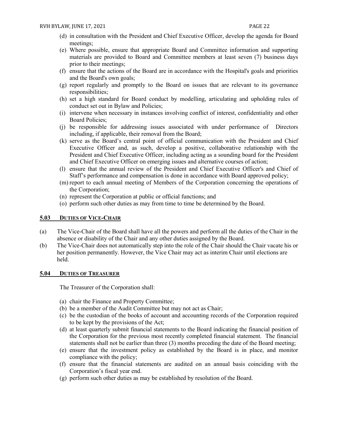- (d) in consultation with the President and Chief Executive Officer, develop the agenda for Board meetings;
- (e) Where possible, ensure that appropriate Board and Committee information and supporting materials are provided to Board and Committee members at least seven (7) business days prior to their meetings;
- (f) ensure that the actions of the Board are in accordance with the Hospital's goals and priorities and the Board's own goals;
- (g) report regularly and promptly to the Board on issues that are relevant to its governance responsibilities;
- (h) set a high standard for Board conduct by modelling, articulating and upholding rules of conduct set out in Bylaw and Policies;
- (i) intervene when necessary in instances involving conflict of interest, confidentiality and other Board Policies;
- (j) be responsible for addressing issues associated with under performance of Directors including, if applicable, their removal from the Board;
- (k) serve as the Board's central point of official communication with the President and Chief Executive Officer and, as such, develop a positive, collaborative relationship with the President and Chief Executive Officer, including acting as a sounding board for the President and Chief Executive Officer on emerging issues and alternative courses of action;
- (l) ensure that the annual review of the President and Chief Executive Officer's and Chief of Staff's performance and compensation is done in accordance with Board approved policy;
- (m) report to each annual meeting of Members of the Corporation concerning the operations of the Corporation;
- (n) represent the Corporation at public or official functions; and
- (o) perform such other duties as may from time to time be determined by the Board.

#### <span id="page-22-0"></span>**5.03 DUTIES OF VICE-CHAIR**

- (a) The Vice-Chair of the Board shall have all the powers and perform all the duties of the Chair in the absence or disability of the Chair and any other duties assigned by the Board.
- (b) The Vice-Chair does not automatically step into the role of the Chair should the Chair vacate his or her position permanently. However, the Vice Chair may act as interim Chair until elections are held.

#### <span id="page-22-1"></span>**5.04 DUTIES OF TREASURER**

The Treasurer of the Corporation shall:

- (a) chair the Finance and Property Committee;
- (b) be a member of the Audit Committee but may not act as Chair;
- (c) be the custodian of the books of account and accounting records of the Corporation required to be kept by the provisions of the Act;
- (d) at least quarterly submit financial statements to the Board indicating the financial position of the Corporation for the previous most recently completed financial statement. The financial statements shall not be earlier than three (3) months preceding the date of the Board meeting;
- (e) ensure that the investment policy as established by the Board is in place, and monitor compliance with the policy;
- (f) ensure that the financial statements are audited on an annual basis coinciding with the Corporation's fiscal year end.
- (g) perform such other duties as may be established by resolution of the Board.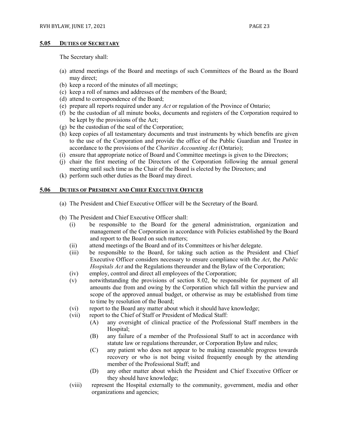#### <span id="page-23-0"></span>**5.05 DUTIES OF SECRETARY**

The Secretary shall:

- (a) attend meetings of the Board and meetings of such Committees of the Board as the Board may direct;
- (b) keep a record of the minutes of all meetings;
- (c) keep a roll of names and addresses of the members of the Board;
- (d) attend to correspondence of the Board;
- (e) prepare all reports required under any *Act* or regulation of the Province of Ontario;
- (f) be the custodian of all minute books, documents and registers of the Corporation required to be kept by the provisions of the Act;
- (g) be the custodian of the seal of the Corporation;
- (h) keep copies of all testamentary documents and trust instruments by which benefits are given to the use of the Corporation and provide the office of the Public Guardian and Trustee in accordance to the provisions of the *Charities Accounting Act* (Ontario);
- (i) ensure that appropriate notice of Board and Committee meetings is given to the Directors;
- (j) chair the first meeting of the Directors of the Corporation following the annual general meeting until such time as the Chair of the Board is elected by the Directors; and
- (k) perform such other duties as the Board may direct.

#### <span id="page-23-1"></span>**5.06 DUTIES OF PRESIDENT AND CHIEF EXECUTIVE OFFICER**

- (a) The President and Chief Executive Officer will be the Secretary of the Board.
- (b) The President and Chief Executive Officer shall:
	- (i) be responsible to the Board for the general administration, organization and management of the Corporation in accordance with Policies established by the Board and report to the Board on such matters;
	- (ii) attend meetings of the Board and of its Committees or his/her delegate.
	- (iii) be responsible to the Board, for taking such action as the President and Chief Executive Officer considers necessary to ensure compliance with the *Act*, the *Public Hospitals Act* and the Regulations thereunder and the Bylaw of the Corporation;
	- (iv) employ, control and direct all employees of the Corporation;
	- (v) notwithstanding the provisions of section 8.02, be responsible for payment of all amounts due from and owing by the Corporation which fall within the purview and scope of the approved annual budget, or otherwise as may be established from time to time by resolution of the Board;
	- (vi) report to the Board any matter about which it should have knowledge;
	- (vii) report to the Chief of Staff or President of Medical Staff:
		- (A) any oversight of clinical practice of the Professional Staff members in the Hospital;
		- (B) any failure of a member of the Professional Staff to act in accordance with statute law or regulations thereunder, or Corporation Bylaw and rules;
		- (C) any patient who does not appear to be making reasonable progress towards recovery or who is not being visited frequently enough by the attending member of the Professional Staff; and
		- (D) any other matter about which the President and Chief Executive Officer or they should have knowledge;
	- (viii) represent the Hospital externally to the community, government, media and other organizations and agencies;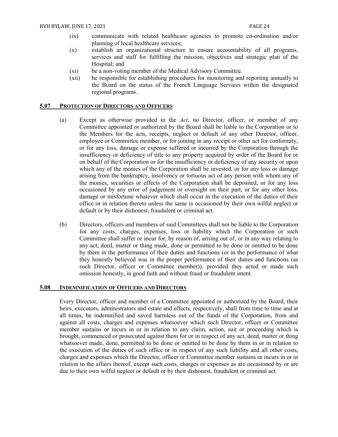- (ix) communicate with related healthcare agencies to promote co-ordination and/or planning of local healthcare services;
- (x) establish an organizational structure to ensure accountability of all programs, services and staff for fulfilling the mission, objectives and strategic plan of the Hospital; and
- (xi) be a non-voting member of the Medical Advisory Committee.
- (xii) be responsible for establishing procedures for monitoring and reporting annually to the Board on the status of the French Language Services within the designated regional programs.

#### <span id="page-24-0"></span>**5.07 PROTECTION OF DIRECTORS AND OFFICERS**

- (a) Except as otherwise provided in the *Act*, no Director, officer, or member of any Committee appointed or authorized by the Board shall be liable to the Corporation or to the Members for the acts, receipts, neglect or default of any other Director, officer, employee or Committee member, or for joining in any receipt or other act for conformity, or for any loss, damage or expense suffered or incurred by the Corporation through the insufficiency or deficiency of title to any property acquired by order of the Board for or on behalf of the Corporation or for the insufficiency or deficiency of any security or upon which any of the monies of the Corporation shall be invested, or for any loss or damage arising from the bankruptcy, insolvency or tortuous act of any person with whom any of the monies, securities or effects of the Corporation shall be deposited, or for any loss occasioned by any error of judgement or oversight on their part, or for any other loss, damage or misfortune whatever which shall occur in the execution of the duties of their office or in relation thereto unless the same is occasioned by their own wilful neglect or default or by their dishonest, fraudulent or criminal act.
- (b) Directors, officers and members of said Committees shall not be liable to the Corporation for any costs, charges, expenses, loss or liability which the Corporation or such Committee shall suffer or incur for, by reason of, arising out of, or in any way relating to any act, deed, matter or thing made, done or permitted to be done or omitted to be done by them in the performance of their duties and functions (or in the performance of what they honestly believed was in the proper performance of their duties and functions (as such Director, officer or Committee member)), provided they acted or made such omission honestly, in good faith and without fraud or fraudulent intent.

#### <span id="page-24-1"></span>**5.08 INDEMNIFICATION OF OFFICERS AND DIRECTORS**

Every Director, officer and member of a Committee appointed or authorized by the Board, their heirs, executors, administrators and estate and effects, respectively, shall from time to time and at all times, be indemnified and saved harmless out of the funds of the Corporation, from and against all costs, charges and expenses whatsoever which such Director, officer or Committee member sustains or incurs in or in relation to any claim, action, suit or proceeding which is brought, commenced or prosecuted against them for or in respect of any act, deed, matter or thing whatsoever made, done, permitted to be done or omitted to be done by them in or in relation to the execution of the duties of such office or in respect of any such liability and all other costs, charges and expenses which the Director, officer or Committee member sustains or incurs in or in relation to the affairs thereof, except such costs, charges or expenses as are occasioned by or are due to their own wilful neglect or default or by their dishonest, fraudulent or criminal act.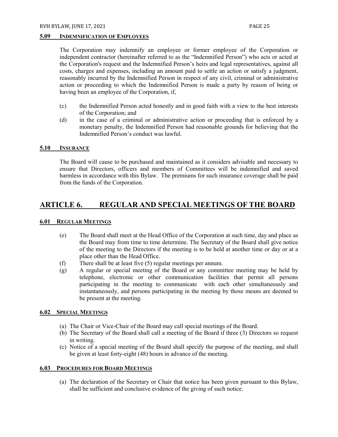#### <span id="page-25-0"></span>**5.09 INDEMNIFICATION OF EMPLOYEES**

The Corporation may indemnify an employee or former employee of the Corporation or independent contractor (hereinafter referred to as the "Indemnified Person") who acts or acted at the Corporation's request and the Indemnified Person's heirs and legal representatives, against all costs, charges and expenses, including an amount paid to settle an action or satisfy a judgment, reasonably incurred by the Indemnified Person in respect of any civil, criminal or administrative action or proceeding to which the Indemnified Person is made a party by reason of being or having been an employee of the Corporation, if,

- (c) the Indemnified Person acted honestly and in good faith with a view to the best interests of the Corporation; and
- (d) in the case of a criminal or administrative action or proceeding that is enforced by a monetary penalty, the Indemnified Person had reasonable grounds for believing that the Indemnified Person's conduct was lawful.

#### <span id="page-25-1"></span>**5.10 INSURANCE**

The Board will cause to be purchased and maintained as it considers advisable and necessary to ensure that Directors, officers and members of Committees will be indemnified and saved harmless in accordance with this Bylaw. The premiums for such insurance coverage shall be paid from the funds of the Corporation.

## <span id="page-25-2"></span>**ARTICLE 6. REGULAR AND SPECIAL MEETINGS OF THE BOARD**

#### <span id="page-25-3"></span>**6.01 REGULAR MEETINGS**

- (e) The Board shall meet at the Head Office of the Corporation at such time, day and place as the Board may from time to time determine. The Secretary of the Board shall give notice of the meeting to the Directors if the meeting is to be held at another time or day or at a place other than the Head Office.
- (f) There shall be at least five (5) regular meetings per annum.
- (g) A regular or special meeting of the Board or any committee meeting may be held by telephone, electronic or other communication facilities that permit all persons participating in the meeting to communicate with each other simultaneously and instantaneously, and persons participating in the meeting by those means are deemed to be present at the meeting.

#### <span id="page-25-4"></span>**6.02 SPECIAL MEETINGS**

- (a) The Chair or Vice-Chair of the Board may call special meetings of the Board.
- (b) The Secretary of the Board shall call a meeting of the Board if three (3) Directors so request in writing.
- (c) Notice of a special meeting of the Board shall specify the purpose of the meeting, and shall be given at least forty-eight (48) hours in advance of the meeting.

#### <span id="page-25-5"></span>**6.03 PROCEDURES FOR BOARD MEETINGS**

(a) The declaration of the Secretary or Chair that notice has been given pursuant to this Bylaw, shall be sufficient and conclusive evidence of the giving of such notice.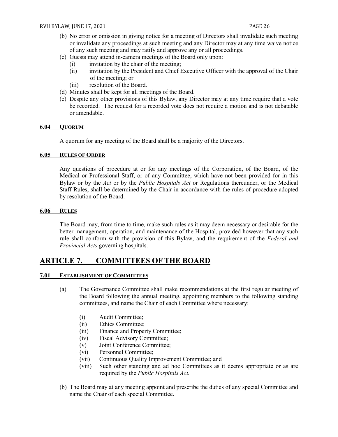- (b) No error or omission in giving notice for a meeting of Directors shall invalidate such meeting or invalidate any proceedings at such meeting and any Director may at any time waive notice of any such meeting and may ratify and approve any or all proceedings.
- (c) Guests may attend in-camera meetings of the Board only upon:
	- (i) invitation by the chair of the meeting;
	- (ii) invitation by the President and Chief Executive Officer with the approval of the Chair of the meeting; or
	- (iii) resolution of the Board.
- (d) Minutes shall be kept for all meetings of the Board.
- (e) Despite any other provisions of this Bylaw, any Director may at any time require that a vote be recorded. The request for a recorded vote does not require a motion and is not debatable or amendable.

#### <span id="page-26-0"></span>**6.04 QUORUM**

A quorum for any meeting of the Board shall be a majority of the Directors.

#### <span id="page-26-1"></span>**6.05 RULES OF ORDER**

Any questions of procedure at or for any meetings of the Corporation, of the Board, of the Medical or Professional Staff, or of any Committee, which have not been provided for in this Bylaw or by the *Act* or by the *Public Hospitals Act* or Regulations thereunder, or the Medical Staff Rules, shall be determined by the Chair in accordance with the rules of procedure adopted by resolution of the Board.

#### <span id="page-26-2"></span>**6.06 RULES**

The Board may, from time to time, make such rules as it may deem necessary or desirable for the better management, operation, and maintenance of the Hospital, provided however that any such rule shall conform with the provision of this Bylaw, and the requirement of the *Federal and Provincial Acts* governing hospitals.

# <span id="page-26-3"></span>**ARTICLE 7. COMMITTEES OF THE BOARD**

#### <span id="page-26-4"></span>**7.01 ESTABLISHMENT OF COMMITTEES**

- (a) The Governance Committee shall make recommendations at the first regular meeting of the Board following the annual meeting, appointing members to the following standing committees, and name the Chair of each Committee where necessary:
	- (i) Audit Committee;
	- (ii) Ethics Committee;
	- (iii) Finance and Property Committee;
	- (iv) Fiscal Advisory Committee;
	- (v) Joint Conference Committee;
	- (vi) Personnel Committee;
	- (vii) Continuous Quality Improvement Committee; and
	- (viii) Such other standing and ad hoc Committees as it deems appropriate or as are required by the *Public Hospitals Act.*
- (b) The Board may at any meeting appoint and prescribe the duties of any special Committee and name the Chair of each special Committee.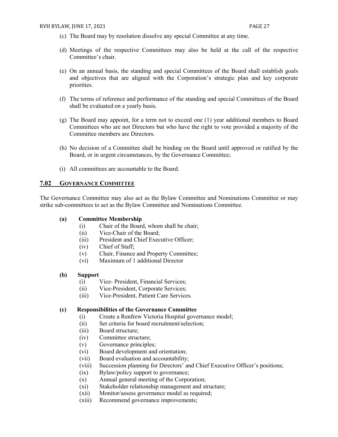- (c) The Board may by resolution dissolve any special Committee at any time.
- (d) Meetings of the respective Committees may also be held at the call of the respective Committee's chair.
- (e) On an annual basis, the standing and special Committees of the Board shall establish goals and objectives that are aligned with the Corporation's strategic plan and key corporate priorities.
- (f) The terms of reference and performance of the standing and special Committees of the Board shall be evaluated on a yearly basis.
- (g) The Board may appoint, for a term not to exceed one (1) year additional members to Board Committees who are not Directors but who have the right to vote provided a majority of the Committee members are Directors.
- (h) No decision of a Committee shall be binding on the Board until approved or ratified by the Board, or in urgent circumstances, by the Governance Committee;
- (i) All committees are accountable to the Board.

#### <span id="page-27-0"></span>**7.02 GOVERNANCE COMMITTEE**

The Governance Committee may also act as the Bylaw Committee and Nominations Committee or may strike sub-committees to act as the Bylaw Committee and Nominations Committee.

#### **(a) Committee Membership**

- (i) Chair of the Board, whom shall be chair;
- (ii) Vice-Chair of the Board;
- (iii) President and Chief Executive Officer;
- (iv) Chief of Staff;
- (v) Chair, Finance and Property Committee;
- (vi) Maximum of 1 additional Director

#### **(b) Support**

- (i) Vice- President, Financial Services;
- (ii) Vice-President, Corporate Services;
- (iii) Vice-President, Patient Care Services.

#### **(c) Responsibilities of the Governance Committee**

- (i) Create a Renfrew Victoria Hospital governance model;
- (ii) Set criteria for board recruitment/selection;
- (iii) Board structure;
- (iv) Committee structure;
- (v) Governance principles;
- (vi) Board development and orientation;
- (vii) Board evaluation and accountability;
- (viii) Succession planning for Directors' and Chief Executive Officer's positions;
- (ix) Bylaw/policy support to governance;
- (x) Annual general meeting of the Corporation;
- (xi) Stakeholder relationship management and structure;
- (xii) Monitor/assess governance model as required;
- (xiii) Recommend governance improvements;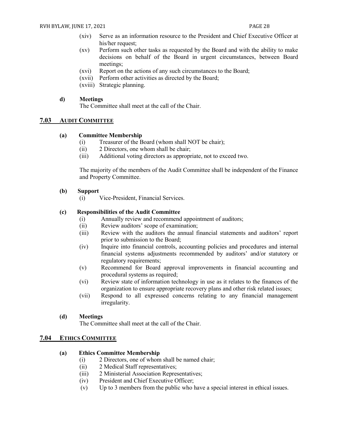- (xiv) Serve as an information resource to the President and Chief Executive Officer at his/her request;
- (xv) Perform such other tasks as requested by the Board and with the ability to make decisions on behalf of the Board in urgent circumstances, between Board meetings;
- (xvi) Report on the actions of any such circumstances to the Board;
- (xvii) Perform other activities as directed by the Board;
- (xviii) Strategic planning.

#### **d) Meetings**

The Committee shall meet at the call of the Chair.

#### <span id="page-28-0"></span>**7.03 AUDIT COMMITTEE**

#### **(a) Committee Membership**

- (i) Treasurer of the Board (whom shall NOT be chair);
- (ii) 2 Directors, one whom shall be chair;
- (iii) Additional voting directors as appropriate, not to exceed two.

The majority of the members of the Audit Committee shall be independent of the Finance and Property Committee.

#### **(b) Support**

(i) Vice-President, Financial Services.

#### **(c) Responsibilities of the Audit Committee**

- (i) Annually review and recommend appointment of auditors;
- (ii) Review auditors' scope of examination;
- (iii) Review with the auditors the annual financial statements and auditors' report prior to submission to the Board;
- (iv) Inquire into financial controls, accounting policies and procedures and internal financial systems adjustments recommended by auditors' and/or statutory or regulatory requirements;
- (v) Recommend for Board approval improvements in financial accounting and procedural systems as required;
- (vi) Review state of information technology in use as it relates to the finances of the organization to ensure appropriate recovery plans and other risk related issues;
- (vii) Respond to all expressed concerns relating to any financial management irregularity.

#### **(d) Meetings**

The Committee shall meet at the call of the Chair.

#### <span id="page-28-1"></span>**7.04 ETHICS COMMITTEE**

#### **(a) Ethics Committee Membership**

- (i) 2 Directors, one of whom shall be named chair;
- (ii) 2 Medical Staff representatives;
- (iii) 2 Ministerial Association Representatives;
- (iv) President and Chief Executive Officer;
- (v) Up to 3 members from the public who have a special interest in ethical issues.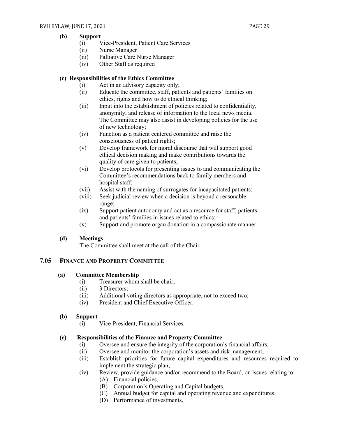#### **(b) Support**

- (i) Vice-President, Patient Care Services
- (ii) Nurse Manager
- (iii) Palliative Care Nurse Manager
- (iv) Other Staff as required

#### **(c) Responsibilities of the Ethics Committee**

- (i) Act in an advisory capacity only;
- (ii) Educate the committee, staff, patients and patients' families on ethics, rights and how to do ethical thinking;
- (iii) Input into the establishment of policies related to confidentiality, anonymity, and release of information to the local news media. The Committee may also assist in developing policies for the use of new technology;
- (iv) Function as a patient centered committee and raise the consciousness of patient rights;
- (v) Develop framework for moral discourse that will support good ethical decision making and make contributions towards the quality of care given to patients;
- (vi) Develop protocols for presenting issues to and communicating the Committee's recommendations back to family members and hospital staff;
- (vii) Assist with the naming of surrogates for incapacitated patients;
- (viii) Seek judicial review when a decision is beyond a reasonable range;
- (ix) Support patient autonomy and act as a resource for staff, patients and patients' families in issues related to ethics;
- (x) Support and promote organ donation in a compassionate manner.

#### **(d) Meetings**

The Committee shall meet at the call of the Chair.

#### <span id="page-29-0"></span>**7.05 FINANCE AND PROPERTY COMMITTEE**

#### **(a) Committee Membership**

- (i) Treasurer whom shall be chair;
- (ii) 3 Directors;
- (iii) Additional voting directors as appropriate, not to exceed two;
- (iv) President and Chief Executive Officer.

#### **(b) Support**

(i) Vice-President, Financial Services.

#### **(c) Responsibilities of the Finance and Property Committee**

- (i) Oversee and ensure the integrity of the corporation's financial affairs;
- (ii) Oversee and monitor the corporation's assets and risk management;
- (iii) Establish priorities for future capital expenditures and resources required to implement the strategic plan;
- (iv) Review, provide guidance and/or recommend to the Board, on issues relating to:
	- (A) Financial policies,
	- (B) Corporation's Operating and Capital budgets,
	- (C) Annual budget for capital and operating revenue and expenditures,
	- (D) Performance of investments,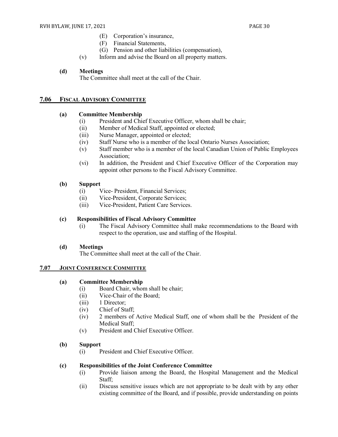- (E) Corporation's insurance,
- (F) Financial Statements,
- (G) Pension and other liabilities (compensation),
- (v) Inform and advise the Board on all property matters.

#### **(d) Meetings**

The Committee shall meet at the call of the Chair.

#### <span id="page-30-0"></span>**7.06 FISCAL ADVISORY COMMITTEE**

#### **(a) Committee Membership**

- (i) President and Chief Executive Officer, whom shall be chair;
- (ii) Member of Medical Staff, appointed or elected;
- (iii) Nurse Manager, appointed or elected;
- (iv) Staff Nurse who is a member of the local Ontario Nurses Association;
- (v) Staff member who is a member of the local Canadian Union of Public Employees Association;
- (vi) In addition, the President and Chief Executive Officer of the Corporation may appoint other persons to the Fiscal Advisory Committee.

#### **(b) Support**

- (i) Vice- President, Financial Services;
- (ii) Vice-President, Corporate Services;
- (iii) Vice-President, Patient Care Services.

#### **(c) Responsibilities of Fiscal Advisory Committee**

(i) The Fiscal Advisory Committee shall make recommendations to the Board with respect to the operation, use and staffing of the Hospital.

#### **(d) Meetings**

The Committee shall meet at the call of the Chair.

#### <span id="page-30-1"></span>**7.07 JOINT CONFERENCE COMMITTEE**

#### **(a) Committee Membership**

- (i) Board Chair, whom shall be chair;
- (ii) Vice-Chair of the Board;
- (iii) 1 Director;
- (iv) Chief of Staff;
- (iv) 2 members of Active Medical Staff, one of whom shall be the President of the Medical Staff;
- (v) President and Chief Executive Officer.

#### **(b) Support**

(i) President and Chief Executive Officer.

#### **(c) Responsibilities of the Joint Conference Committee**

- (i) Provide liaison among the Board, the Hospital Management and the Medical Staff;
- (ii) Discuss sensitive issues which are not appropriate to be dealt with by any other existing committee of the Board, and if possible, provide understanding on points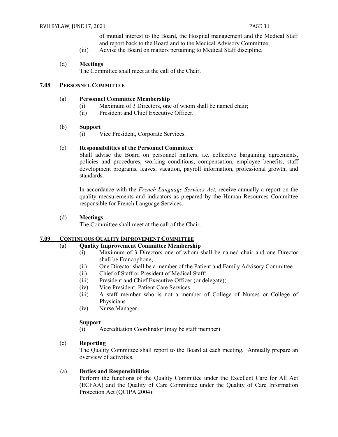of mutual interest to the Board, the Hospital management and the Medical Staff and report back to the Board and to the Medical Advisory Committee;

(iii) Advise the Board on matters pertaining to Medical Staff discipline.

#### (d) **Meetings**

The Committee shall meet at the call of the Chair.

#### <span id="page-31-0"></span>**7.08 PERSONNEL COMMITTEE**

#### (a) **Personnel Committee Membership**

- (i) Maximum of 3 Directors, one of whom shall be named chair;
- (ii) President and Chief Executive Officer.

#### (b) **Support**

(i) Vice President, Corporate Services.

#### (c) **Responsibilities of the Personnel Committee**

Shall advise the Board on personnel matters, i.e. collective bargaining agreements, policies and procedures, working conditions, compensation, employee benefits, staff development programs, leaves, vacation, payroll information, professional growth, and standards.

In accordance with the *French Language Services Act*, receive annually a report on the quality measurements and indicators as prepared by the Human Resources Committee responsible for French Language Services.

#### (d) **Meetings**

The Committee shall meet at the call of the Chair.

#### <span id="page-31-1"></span>**7.09 CONTINUOUS QUALITY IMPROVEMENT COMMITTEE**

#### (a) **Quality Improvement Committee Membership**

- (i) Maximum of 3 Directors one of whom shall be named chair and one Director shall be Francophone;
- (ii) One Director shall be a member of the Patient and Family Advisory Committee
- (ii) Chief of Staff or President of Medical Staff;
- (iii) President and Chief Executive Officer (or delegate);
- (iv) Vice President, Patient Care Services
- (iii) A staff member who is not a member of College of Nurses or College of Physicians
- (iv) Nurse Manager

#### **Support**

(i) Accreditation Coordinator (may be staff member)

#### (c) **Reporting**

The Quality Committee shall report to the Board at each meeting. Annually prepare an overview of activities.

#### (a) **Duties and Responsibilities**

Perform the functions of the Quality Committee under the Excellent Care for All Act (ECFAA) and the Quality of Care Committee under the Quality of Care Information Protection Act (QCIPA 2004).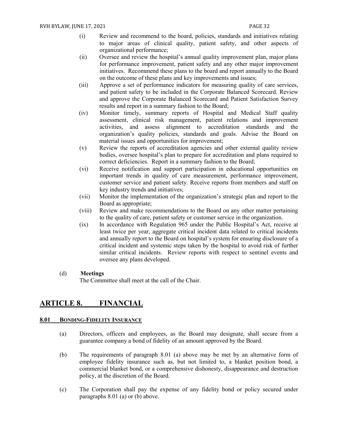- (i) Review and recommend to the board, policies, standards and initiatives relating to major areas of clinical quality, patient safety, and other aspects of organizational performance;
- (ii) Oversee and review the hospital's annual quality improvement plan, major plans for performance improvement, patient safety and any other major improvement initiatives. Recommend these plans to the board and report annually to the Board on the outcome of these plans and key improvements and issues;
- (iii) Approve a set of performance indicators for measuring quality of care services, and patient safety to be included in the Corporate Balanced Scorecard. Review and approve the Corporate Balanced Scorecard and Patient Satisfaction Survey results and report in a summary fashion to the Board;
- (iv) Monitor timely, summary reports of Hospital and Medical Staff quality assessment, clinical risk management, patient relations and improvement activities, and assess alignment to accreditation standards and the organization's quality policies, standards and goals. Advise the Board on material issues and opportunities for improvement;
- (v) Review the reports of accreditation agencies and other external quality review bodies, oversee hospital's plan to prepare for accreditation and plans required to correct deficiencies. Report in a summary fashion to the Board;
- (vi) Receive notification and support participation in educational opportunities on important trends in quality of care measurement, performance improvement, customer service and patient safety. Receive reports from members and staff on key industry trends and initiatives;
- (vii) Monitor the implementation of the organization's strategic plan and report to the Board as appropriate;
- (viii) Review and make recommendations to the Board on any other matter pertaining to the quality of care, patient safety or customer service in the organization.
- (ix) In accordance with Regulation 965 under the Public Hospital's Act, receive at least twice per year, aggregate critical incident data related to critical incidents and annually report to the Board on hospital's system for ensuring disclosure of a critical incident and systemic steps taken by the hospital to avoid risk of further similar critical incidents. Review reports with respect to sentinel events and oversee any plans developed.

#### (d) **Meetings**

The Committee shall meet at the call of the Chair.

# <span id="page-32-0"></span>**ARTICLE 8. FINANCIAL**

#### <span id="page-32-1"></span>**8.01 BONDING-FIDELITY INSURANCE**

- (a) Directors, officers and employees, as the Board may designate, shall secure from a guarantee company a bond of fidelity of an amount approved by the Board.
- (b) The requirements of paragraph 8.01 (a) above may be met by an alternative form of employee fidelity insurance such as, but not limited to, a blanket position bond, a commercial blanket bond, or a comprehensive dishonesty, disappearance and destruction policy, at the discretion of the Board.
- (c) The Corporation shall pay the expense of any fidelity bond or policy secured under paragraphs 8.01 (a) or (b) above.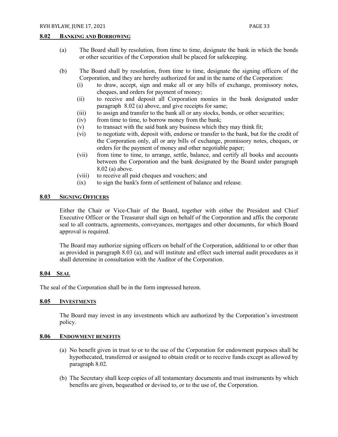#### <span id="page-33-0"></span>**8.02 BANKING AND BORROWING**

- (a) The Board shall by resolution, from time to time, designate the bank in which the bonds or other securities of the Corporation shall be placed for safekeeping.
- (b) The Board shall by resolution, from time to time, designate the signing officers of the Corporation, and they are hereby authorized for and in the name of the Corporation:
	- (i) to draw, accept, sign and make all or any bills of exchange, promissory notes, cheques, and orders for payment of money;
	- (ii) to receive and deposit all Corporation monies in the bank designated under paragraph 8.02 (a) above, and give receipts for same;
	- (iii) to assign and transfer to the bank all or any stocks, bonds, or other securities;
	- (iv) from time to time, to borrow money from the bank;
	- (v) to transact with the said bank any business which they may think fit;
	- (vi) to negotiate with, deposit with, endorse or transfer to the bank, but for the credit of the Corporation only, all or any bills of exchange, promissory notes, cheques, or orders for the payment of money and other negotiable paper;
	- (vii) from time to time, to arrange, settle, balance, and certify all books and accounts between the Corporation and the bank designated by the Board under paragraph 8.02 (a) above.
	- (viii) to receive all paid cheques and vouchers; and
	- (ix) to sign the bank's form of settlement of balance and release.

#### <span id="page-33-1"></span>**8.03 SIGNING OFFICERS**

Either the Chair or Vice-Chair of the Board, together with either the President and Chief Executive Officer or the Treasurer shall sign on behalf of the Corporation and affix the corporate seal to all contracts, agreements, conveyances, mortgages and other documents, for which Board approval is required.

The Board may authorize signing officers on behalf of the Corporation, additional to or other than as provided in paragraph 8.03 (a), and will institute and effect such internal audit procedures as it shall determine in consultation with the Auditor of the Corporation.

#### <span id="page-33-2"></span>**8.04 SEAL**

The seal of the Corporation shall be in the form impressed hereon.

#### <span id="page-33-3"></span>**8.05 INVESTMENTS**

The Board may invest in any investments which are authorized by the Corporation's investment policy.

#### <span id="page-33-4"></span>**8.06 ENDOWMENT BENEFITS**

- (a) No benefit given in trust to or to the use of the Corporation for endowment purposes shall be hypothecated, transferred or assigned to obtain credit or to receive funds except as allowed by paragraph 8.02.
- (b) The Secretary shall keep copies of all testamentary documents and trust instruments by which benefits are given, bequeathed or devised to, or to the use of, the Corporation.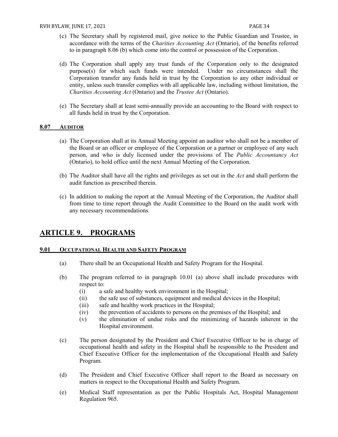- (c) The Secretary shall by registered mail, give notice to the Public Guardian and Trustee, in accordance with the terms of the *Charities Accounting Act* (Ontario), of the benefits referred to in paragraph 8.06 (b) which come into the control or possession of the Corporation.
- (d) The Corporation shall apply any trust funds of the Corporation only to the designated purpose(s) for which such funds were intended. Under no circumstances shall the Corporation transfer any funds held in trust by the Corporation to any other individual or entity, unless such transfer complies with all applicable law, including without limitation, the *Charities Accounting Act* (Ontario) and the *Trustee Act* (Ontario).
- (e) The Secretary shall at least semi-annually provide an accounting to the Board with respect to all funds held in trust by the Corporation.

#### <span id="page-34-0"></span>**8.07 AUDITOR**

- (a) The Corporation shall at its Annual Meeting appoint an auditor who shall not be a member of the Board or an officer or employee of the Corporation or a partner or employee of any such person, and who is duly licensed under the provisions of The *Public Accountancy Act*  (Ontario), to hold office until the next Annual Meeting of the Corporation.
- (b) The Auditor shall have all the rights and privileges as set out in the *Act* and shall perform the audit function as prescribed therein.
- (c) In addition to making the report at the Annual Meeting of the Corporation, the Auditor shall from time to time report through the Audit Committee to the Board on the audit work with any necessary recommendations.

### <span id="page-34-1"></span>**ARTICLE 9. PROGRAMS**

#### <span id="page-34-2"></span>**9.01 OCCUPATIONAL HEALTH AND SAFETY PROGRAM**

- (a) There shall be an Occupational Health and Safety Program for the Hospital.
- (b) The program referred to in paragraph 10.01 (a) above shall include procedures with respect to:
	- (i) a safe and healthy work environment in the Hospital;
	- (ii) the safe use of substances, equipment and medical devices in the Hospital;
	- (iii) safe and healthy work practices in the Hospital;
	- (iv) the prevention of accidents to persons on the premises of the Hospital; and
	- (v) the elimination of undue risks and the minimizing of hazards inherent in the Hospital environment.
- (c) The person designated by the President and Chief Executive Officer to be in charge of occupational health and safety in the Hospital shall be responsible to the President and Chief Executive Officer for the implementation of the Occupational Health and Safety Program.
- (d) The President and Chief Executive Officer shall report to the Board as necessary on matters in respect to the Occupational Health and Safety Program.
- (e) Medical Staff representation as per the Public Hospitals Act, Hospital Management Regulation 965.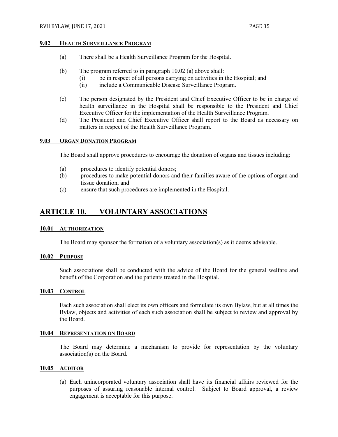#### <span id="page-35-0"></span>**9.02 HEALTH SURVEILLANCE PROGRAM**

- (a) There shall be a Health Surveillance Program for the Hospital.
- (b) The program referred to in paragraph 10.02 (a) above shall:
	- (i) be in respect of all persons carrying on activities in the Hospital; and
	- (ii) include a Communicable Disease Surveillance Program.
- (c) The person designated by the President and Chief Executive Officer to be in charge of health surveillance in the Hospital shall be responsible to the President and Chief Executive Officer for the implementation of the Health Surveillance Program.
- (d) The President and Chief Executive Officer shall report to the Board as necessary on matters in respect of the Health Surveillance Program.

#### <span id="page-35-1"></span>**9.03 ORGAN DONATION PROGRAM**

The Board shall approve procedures to encourage the donation of organs and tissues including:

- (a) procedures to identify potential donors;
- (b) procedures to make potential donors and their families aware of the options of organ and tissue donation; and
- (c) ensure that such procedures are implemented in the Hospital.

# <span id="page-35-2"></span>**ARTICLE 10. VOLUNTARY ASSOCIATIONS**

#### <span id="page-35-3"></span>**10.01 AUTHORIZATION**

The Board may sponsor the formation of a voluntary association(s) as it deems advisable.

#### <span id="page-35-4"></span>**10.02 PURPOSE**

Such associations shall be conducted with the advice of the Board for the general welfare and benefit of the Corporation and the patients treated in the Hospital.

#### <span id="page-35-5"></span>**10.03 CONTROL**

Each such association shall elect its own officers and formulate its own Bylaw, but at all times the Bylaw, objects and activities of each such association shall be subject to review and approval by the Board.

#### <span id="page-35-6"></span>**10.04 REPRESENTATION ON BOARD**

The Board may determine a mechanism to provide for representation by the voluntary association(s) on the Board.

#### <span id="page-35-7"></span>**10.05 AUDITOR**

(a) Each unincorporated voluntary association shall have its financial affairs reviewed for the purposes of assuring reasonable internal control. Subject to Board approval, a review engagement is acceptable for this purpose.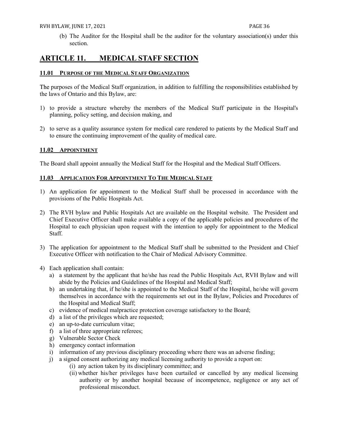(b) The Auditor for the Hospital shall be the auditor for the voluntary association(s) under this section.

# <span id="page-36-0"></span>**ARTICLE 11. MEDICAL STAFF SECTION**

#### <span id="page-36-1"></span>**11.01 PURPOSE OF THE MEDICAL STAFF ORGANIZATION**

The purposes of the Medical Staff organization, in addition to fulfilling the responsibilities established by the laws of Ontario and this Bylaw, are:

- 1) to provide a structure whereby the members of the Medical Staff participate in the Hospital's planning, policy setting, and decision making, and
- 2) to serve as a quality assurance system for medical care rendered to patients by the Medical Staff and to ensure the continuing improvement of the quality of medical care.

#### <span id="page-36-2"></span>**11.02 APPOINTMENT**

The Board shall appoint annually the Medical Staff for the Hospital and the Medical Staff Officers.

#### <span id="page-36-3"></span>**11.03 APPLICATION FOR APPOINTMENT TO THE MEDICAL STAFF**

- 1) An application for appointment to the Medical Staff shall be processed in accordance with the provisions of the Public Hospitals Act.
- 2) The RVH bylaw and Public Hospitals Act are available on the Hospital website. The President and Chief Executive Officer shall make available a copy of the applicable policies and procedures of the Hospital to each physician upon request with the intention to apply for appointment to the Medical Staff.
- 3) The application for appointment to the Medical Staff shall be submitted to the President and Chief Executive Officer with notification to the Chair of Medical Advisory Committee.
- 4) Each application shall contain:
	- a) a statement by the applicant that he/she has read the Public Hospitals Act, RVH Bylaw and will abide by the Policies and Guidelines of the Hospital and Medical Staff;
	- b) an undertaking that, if he/she is appointed to the Medical Staff of the Hospital, he/she will govern themselves in accordance with the requirements set out in the Bylaw, Policies and Procedures of the Hospital and Medical Staff;
	- c) evidence of medical malpractice protection coverage satisfactory to the Board;
	- d) a list of the privileges which are requested;
	- e) an up-to-date curriculum vitae;
	- f) a list of three appropriate referees;
	- g) Vulnerable Sector Check
	- h) emergency contact information
	- i) information of any previous disciplinary proceeding where there was an adverse finding;
	- j) a signed consent authorizing any medical licensing authority to provide a report on:
		- (i) any action taken by its disciplinary committee; and
		- (ii) whether his/her privileges have been curtailed or cancelled by any medical licensing authority or by another hospital because of incompetence, negligence or any act of professional misconduct.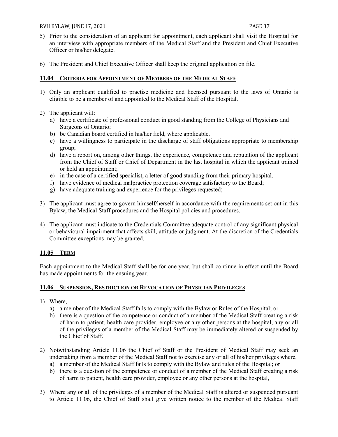#### RVH BYLAW, JUNE 17, 2021 **PAGE 37**

- 5) Prior to the consideration of an applicant for appointment, each applicant shall visit the Hospital for an interview with appropriate members of the Medical Staff and the President and Chief Executive Officer or his/her delegate.
- 6) The President and Chief Executive Officer shall keep the original application on file.

#### <span id="page-37-0"></span>**11.04 CRITERIA FOR APPOINTMENT OF MEMBERS OF THE MEDICAL STAFF**

- 1) Only an applicant qualified to practise medicine and licensed pursuant to the laws of Ontario is eligible to be a member of and appointed to the Medical Staff of the Hospital.
- 2) The applicant will:
	- a) have a certificate of professional conduct in good standing from the College of Physicians and Surgeons of Ontario;
	- b) be Canadian board certified in his/her field, where applicable.
	- c) have a willingness to participate in the discharge of staff obligations appropriate to membership group;
	- d) have a report on, among other things, the experience, competence and reputation of the applicant from the Chief of Staff or Chief of Department in the last hospital in which the applicant trained or held an appointment;
	- e) in the case of a certified specialist, a letter of good standing from their primary hospital.
	- f) have evidence of medical malpractice protection coverage satisfactory to the Board;
	- g) have adequate training and experience for the privileges requested;
- 3) The applicant must agree to govern himself/herself in accordance with the requirements set out in this Bylaw, the Medical Staff procedures and the Hospital policies and procedures.
- 4) The applicant must indicate to the Credentials Committee adequate control of any significant physical or behavioural impairment that affects skill, attitude or judgment. At the discretion of the Credentials Committee exceptions may be granted.

#### <span id="page-37-1"></span>**11.05 TERM**

Each appointment to the Medical Staff shall be for one year, but shall continue in effect until the Board has made appointments for the ensuing year.

#### <span id="page-37-2"></span>**11.06 SUSPENSION, RESTRICTION OR REVOCATION OF PHYSICIAN PRIVILEGES**

- 1) Where,
	- a) a member of the Medical Staff fails to comply with the Bylaw or Rules of the Hospital; or
	- b) there is a question of the competence or conduct of a member of the Medical Staff creating a risk of harm to patient, health care provider, employee or any other persons at the hospital, any or all of the privileges of a member of the Medical Staff may be immediately altered or suspended by the Chief of Staff.
- 2) Notwithstanding Article 11.06 the Chief of Staff or the President of Medical Staff may seek an undertaking from a member of the Medical Staff not to exercise any or all of his/her privileges where,
	- a) a member of the Medical Staff fails to comply with the Bylaw and rules of the Hospital; or
	- b) there is a question of the competence or conduct of a member of the Medical Staff creating a risk of harm to patient, health care provider, employee or any other persons at the hospital,
- 3) Where any or all of the privileges of a member of the Medical Staff is altered or suspended pursuant to Article 11.06, the Chief of Staff shall give written notice to the member of the Medical Staff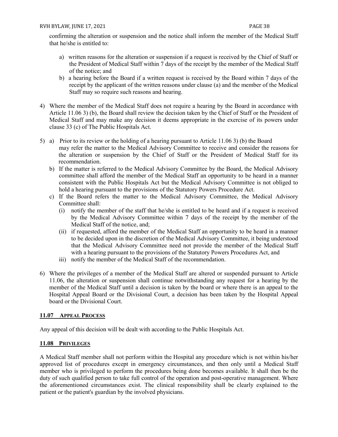confirming the alteration or suspension and the notice shall inform the member of the Medical Staff that he/she is entitled to:

- a) written reasons for the alteration or suspension if a request is received by the Chief of Staff or the President of Medical Staff within 7 days of the receipt by the member of the Medical Staff of the notice; and
- b) a hearing before the Board if a written request is received by the Board within 7 days of the receipt by the applicant of the written reasons under clause (a) and the member of the Medical Staff may so require such reasons and hearing.
- 4) Where the member of the Medical Staff does not require a hearing by the Board in accordance with Article 11.06 3) (b), the Board shall review the decision taken by the Chief of Staff or the President of Medical Staff and may make any decision it deems appropriate in the exercise of its powers under clause 33 (c) of The Public Hospitals Act.
- 5) a) Prior to its review or the holding of a hearing pursuant to Article 11.06 3) (b) the Board may refer the matter to the Medical Advisory Committee to receive and consider the reasons for the alteration or suspension by the Chief of Staff or the President of Medical Staff for its recommendation.
	- b) If the matter is referred to the Medical Advisory Committee by the Board, the Medical Advisory committee shall afford the member of the Medical Staff an opportunity to be heard in a manner consistent with the Public Hospitals Act but the Medical Advisory Committee is not obliged to hold a hearing pursuant to the provisions of the Statutory Powers Procedure Act.
	- c) If the Board refers the matter to the Medical Advisory Committee, the Medical Advisory Committee shall:
		- (i) notify the member of the staff that he/she is entitled to be heard and if a request is received by the Medical Advisory Committee within 7 days of the receipt by the member of the Medical Staff of the notice, and;
		- (ii) if requested, afford the member of the Medical Staff an opportunity to be heard in a manner to be decided upon in the discretion of the Medical Advisory Committee, it being understood that the Medical Advisory Committee need not provide the member of the Medical Staff with a hearing pursuant to the provisions of the Statutory Powers Procedures Act, and
		- iii) notify the member of the Medical Staff of the recommendation.
- 6) Where the privileges of a member of the Medical Staff are altered or suspended pursuant to Article 11.06, the alteration or suspension shall continue notwithstanding any request for a hearing by the member of the Medical Staff until a decision is taken by the board or where there is an appeal to the Hospital Appeal Board or the Divisional Court, a decision has been taken by the Hospital Appeal board or the Divisional Court.

#### <span id="page-38-0"></span>**11.07 APPEAL PROCESS**

Any appeal of this decision will be dealt with according to the Public Hospitals Act.

#### **11.08 PRIVILEGES**

A Medical Staff member shall not perform within the Hospital any procedure which is not within his/her approved list of procedures except in emergency circumstances, and then only until a Medical Staff member who is privileged to perform the procedures being done becomes available. It shall then be the duty of such qualified person to take full control of the operation and post-operative management. Where the aforementioned circumstances exist. The clinical responsibility shall be clearly explained to the patient or the patient's guardian by the involved physicians.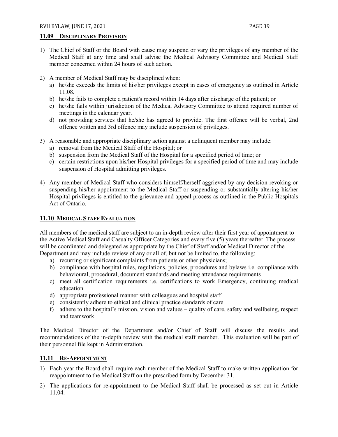#### <span id="page-39-0"></span>**11.09 DISCIPLINARY PROVISION**

- 1) The Chief of Staff or the Board with cause may suspend or vary the privileges of any member of the Medical Staff at any time and shall advise the Medical Advisory Committee and Medical Staff member concerned within 24 hours of such action.
- 2) A member of Medical Staff may be disciplined when:
	- a) he/she exceeds the limits of his/her privileges except in cases of emergency as outlined in Article 11.08.
	- b) he/she fails to complete a patient's record within 14 days after discharge of the patient; or
	- c) he/she fails within jurisdiction of the Medical Advisory Committee to attend required number of meetings in the calendar year.
	- d) not providing services that he/she has agreed to provide. The first offence will be verbal, 2nd offence written and 3rd offence may include suspension of privileges.
- 3) A reasonable and appropriate disciplinary action against a delinquent member may include:
	- a) removal from the Medical Staff of the Hospital; or
	- b) suspension from the Medical Staff of the Hospital for a specified period of time; or
	- c) certain restrictions upon his/her Hospital privileges for a specified period of time and may include suspension of Hospital admitting privileges.
- 4) Any member of Medical Staff who considers himself/herself aggrieved by any decision revoking or suspending his/her appointment to the Medical Staff or suspending or substantially altering his/her Hospital privileges is entitled to the grievance and appeal process as outlined in the Public Hospitals Act of Ontario.

#### **11.10 MEDICAL STAFF EVALUATION**

All members of the medical staff are subject to an in-depth review after their first year of appointment to the Active Medical Staff and Casualty Officer Categories and every five (5) years thereafter. The process will be coordinated and delegated as appropriate by the Chief of Staff and/or Medical Director of the Department and may include review of any or all of, but not be limited to, the following:

- a) recurring or significant complaints from patients or other physicians;
- b) compliance with hospital rules, regulations, policies, procedures and bylaws i.e. compliance with behavioural, procedural, document standards and meeting attendance requirements
- c) meet all certification requirements i.e. certifications to work Emergency, continuing medical education
- d) appropriate professional manner with colleagues and hospital staff
- e) consistently adhere to ethical and clinical practice standards of care
- f) adhere to the hospital's mission, vision and values quality of care, safety and wellbeing, respect and teamwork

The Medical Director of the Department and/or Chief of Staff will discuss the results and recommendations of the in-depth review with the medical staff member. This evaluation will be part of their personnel file kept in Administration.

#### <span id="page-39-1"></span>**11.11 RE-APPOINTMENT**

- 1) Each year the Board shall require each member of the Medical Staff to make written application for reappointment to the Medical Staff on the prescribed form by December 31.
- 2) The applications for re-appointment to the Medical Staff shall be processed as set out in Article 11.04.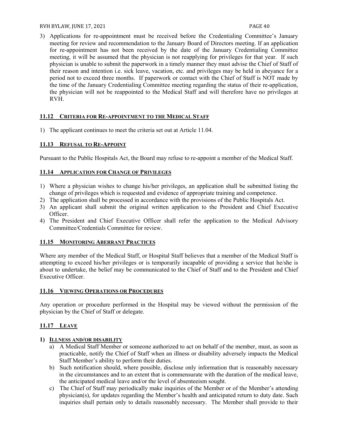#### RVH BYLAW, JUNE 17, 2021 2012 19:30 PAGE 40

3) Applications for re-appointment must be received before the Credentialing Committee's January meeting for review and recommendation to the January Board of Directors meeting. If an application for re-appointment has not been received by the date of the January Credentialing Committee meeting, it will be assumed that the physician is not reapplying for privileges for that year. If such physician is unable to submit the paperwork in a timely manner they must advise the Chief of Staff of their reason and intention i.e. sick leave, vacation, etc. and privileges may be held in abeyance for a period not to exceed three months. If paperwork or contact with the Chief of Staff is NOT made by the time of the January Credentialing Committee meeting regarding the status of their re-application, the physician will not be reappointed to the Medical Staff and will therefore have no privileges at RVH.

#### <span id="page-40-0"></span>**11.12 CRITERIA FOR RE-APPOINTMENT TO THE MEDICAL STAFF**

1) The applicant continues to meet the criteria set out at Article 11.04.

#### <span id="page-40-1"></span>**11.13 REFUSAL TO RE-APPOINT**

Pursuant to the Public Hospitals Act, the Board may refuse to re-appoint a member of the Medical Staff.

#### <span id="page-40-2"></span>**11.14 APPLICATION FOR CHANGE OF PRIVILEGES**

- 1) Where a physician wishes to change his/her privileges, an application shall be submitted listing the change of privileges which is requested and evidence of appropriate training and competence.
- 2) The application shall be processed in accordance with the provisions of the Public Hospitals Act.
- 3) An applicant shall submit the original written application to the President and Chief Executive Officer.
- 4) The President and Chief Executive Officer shall refer the application to the Medical Advisory Committee/Credentials Committee for review.

#### <span id="page-40-3"></span>**11.15 MONITORING ABERRANT PRACTICES**

Where any member of the Medical Staff, or Hospital Staff believes that a member of the Medical Staff is attempting to exceed his/her privileges or is temporarily incapable of providing a service that he/she is about to undertake, the belief may be communicated to the Chief of Staff and to the President and Chief Executive Officer.

#### <span id="page-40-4"></span>**11.16 VIEWING OPERATIONS OR PROCEDURES**

Any operation or procedure performed in the Hospital may be viewed without the permission of the physician by the Chief of Staff or delegate.

#### <span id="page-40-5"></span>**11.17 LEAVE**

#### **1) ILLNESS AND/OR DISABILITY**

- a) A Medical Staff Member or someone authorized to act on behalf of the member, must, as soon as practicable, notify the Chief of Staff when an illness or disability adversely impacts the Medical Staff Member's ability to perform their duties.
- b) Such notification should, where possible, disclose only information that is reasonably necessary in the circumstances and to an extent that is commensurate with the duration of the medical leave, the anticipated medical leave and/or the level of absenteeism sought.
- c) The Chief of Staff may periodically make inquiries of the Member or of the Member's attending physician(s), for updates regarding the Member's health and anticipated return to duty date. Such inquiries shall pertain only to details reasonably necessary. The Member shall provide to their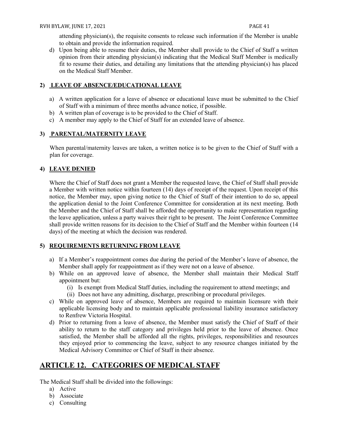attending physician(s), the requisite consents to release such information if the Member is unable to obtain and provide the information required.

d) Upon being able to resume their duties, the Member shall provide to the Chief of Staff a written opinion from their attending physician(s) indicating that the Medical Staff Member is medically fit to resume their duties, and detailing any limitations that the attending physician(s) has placed on the Medical Staff Member.

#### **2) LEAVE OF ABSENCE/EDUCATIONAL LEAVE**

- a) A written application for a leave of absence or educational leave must be submitted to the Chief of Staff with a minimum of three months advance notice, if possible.
- b) A written plan of coverage is to be provided to the Chief of Staff.
- c) A member may apply to the Chief of Staff for an extended leave of absence.

#### **3) PARENTAL/MATERNITY LEAVE**

When parental/maternity leaves are taken, a written notice is to be given to the Chief of Staff with a plan for coverage.

#### **4) LEAVE DENIED**

Where the Chief of Staff does not grant a Member the requested leave, the Chief of Staff shall provide a Member with written notice within fourteen (14) days of receipt of the request. Upon receipt of this notice, the Member may, upon giving notice to the Chief of Staff of their intention to do so, appeal the application denial to the Joint Conference Committee for consideration at its next meeting. Both the Member and the Chief of Staff shall be afforded the opportunity to make representation regarding the leave application, unless a party waives their right to be present. The Joint Conference Committee shall provide written reasons for its decision to the Chief of Staff and the Member within fourteen (14 days) of the meeting at which the decision was rendered.

#### **5) REQUIREMENTS RETURNING FROM LEAVE**

- a) If a Member's reappointment comes due during the period of the Member's leave of absence, the Member shall apply for reappointment as if they were not on a leave of absence.
- b) While on an approved leave of absence, the Member shall maintain their Medical Staff appointment but:
	- (i) Is exempt from Medical Staff duties, including the requirement to attend meetings; and
	- (ii) Does not have any admitting, discharge, prescribing or procedural privileges.
- c) While on approved leave of absence, Members are required to maintain licensure with their applicable licensing body and to maintain applicable professional liability insurance satisfactory to Renfrew Victoria Hospital.
- d) Prior to returning from a leave of absence, the Member must satisfy the Chief of Staff of their ability to return to the staff category and privileges held prior to the leave of absence. Once satisfied, the Member shall be afforded all the rights, privileges, responsibilities and resources they enjoyed prior to commencing the leave, subject to any resource changes initiated by the Medical Advisory Committee or Chief of Staff in their absence.

# <span id="page-41-0"></span>**ARTICLE 12. CATEGORIES OF MEDICAL STAFF**

The Medical Staff shall be divided into the followings:

- a) Active
- b) Associate
- c) Consulting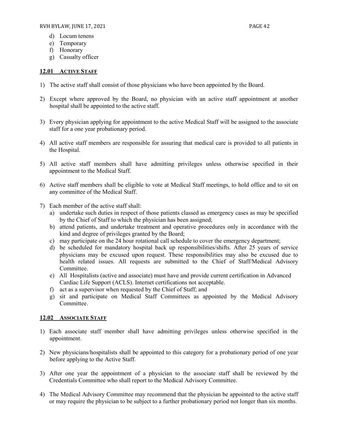- d) Locum tenens
- e) Temporary
- f) Honorary
- g) Casualty officer

#### <span id="page-42-0"></span>**12.01 ACTIVE STAFF**

- 1) The active staff shall consist of those physicians who have been appointed by the Board.
- 2) Except where approved by the Board, no physician with an active staff appointment at another hospital shall be appointed to the active staff.
- 3) Every physician applying for appointment to the active Medical Staff will be assigned to the associate staff for a one year probationary period.
- 4) All active staff members are responsible for assuring that medical care is provided to all patients in the Hospital.
- 5) All active staff members shall have admitting privileges unless otherwise specified in their appointment to the Medical Staff.
- 6) Active staff members shall be eligible to vote at Medical Staff meetings, to hold office and to sit on any committee of the Medical Staff.
- 7) Each member of the active staff shall:
	- a) undertake such duties in respect of those patients classed as emergency cases as may be specified by the Chief of Staff to which the physician has been assigned;
	- b) attend patients, and undertake treatment and operative procedures only in accordance with the kind and degree of privileges granted by the Board;
	- c) may participate on the 24 hour rotational call schedule to cover the emergency department;
	- d) be scheduled for mandatory hospital back up responsibilities/shifts. After 25 years of service physicians may be excused upon request. These responsibilities may also be excused due to health related issues. All requests are submitted to the Chief of Staff/Medical Advisory Committee.
	- e) All Hospitalists (active and associate) must have and provide current certification in Advanced Cardiac Life Support (ACLS). Internet certifications not acceptable.
	- f) act as a supervisor when requested by the Chief of Staff; and
	- g) sit and participate on Medical Staff Committees as appointed by the Medical Advisory Committee.

#### <span id="page-42-1"></span>**12.02 ASSOCIATE STAFF**

- 1) Each associate staff member shall have admitting privileges unless otherwise specified in the appointment.
- 2) New physicians/hospitalists shall be appointed to this category for a probationary period of one year before applying to the Active Staff.
- 3) After one year the appointment of a physician to the associate staff shall be reviewed by the Credentials Committee who shall report to the Medical Advisory Committee.
- 4) The Medical Advisory Committee may recommend that the physician be appointed to the active staff or may require the physician to be subject to a further probationary period not longer than six months.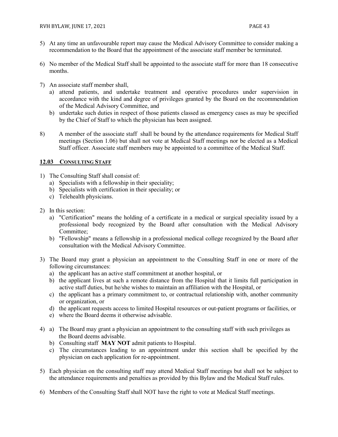- 5) At any time an unfavourable report may cause the Medical Advisory Committee to consider making a recommendation to the Board that the appointment of the associate staff member be terminated.
- 6) No member of the Medical Staff shall be appointed to the associate staff for more than 18 consecutive months.
- 7) An associate staff member shall,
	- a) attend patients, and undertake treatment and operative procedures under supervision in accordance with the kind and degree of privileges granted by the Board on the recommendation of the Medical Advisory Committee, and
	- b) undertake such duties in respect of those patients classed as emergency cases as may be specified by the Chief of Staff to which the physician has been assigned.
- 8) A member of the associate staff shall be bound by the attendance requirements for Medical Staff meetings (Section 1.06) but shall not vote at Medical Staff meetings nor be elected as a Medical Staff officer. Associate staff members may be appointed to a committee of the Medical Staff.

#### <span id="page-43-0"></span>**12.03 CONSULTING STAFF**

- 1) The Consulting Staff shall consist of:
	- a) Specialists with a fellowship in their speciality;
	- b) Specialists with certification in their speciality; or
	- c) Telehealth physicians.
- 2) In this section:
	- a) "Certification" means the holding of a certificate in a medical or surgical speciality issued by a professional body recognized by the Board after consultation with the Medical Advisory Committee;
	- b) "Fellowship" means a fellowship in a professional medical college recognized by the Board after consultation with the Medical Advisory Committee.
- 3) The Board may grant a physician an appointment to the Consulting Staff in one or more of the following circumstances:
	- a) the applicant has an active staff commitment at another hospital, or
	- b) the applicant lives at such a remote distance from the Hospital that it limits full participation in active staff duties, but he/she wishes to maintain an affiliation with the Hospital, or
	- c) the applicant has a primary commitment to, or contractual relationship with, another community or organization, or
	- d) the applicant requests access to limited Hospital resources or out-patient programs or facilities, or
	- e) where the Board deems it otherwise advisable.
- 4) a) The Board may grant a physician an appointment to the consulting staff with such privileges as the Board deems advisable.
	- b) Consulting staff **MAY NOT** admit patients to Hospital.
	- c) The circumstances leading to an appointment under this section shall be specified by the physician on each application for re-appointment.
- 5) Each physician on the consulting staff may attend Medical Staff meetings but shall not be subject to the attendance requirements and penalties as provided by this Bylaw and the Medical Staff rules.
- 6) Members of the Consulting Staff shall NOT have the right to vote at Medical Staff meetings.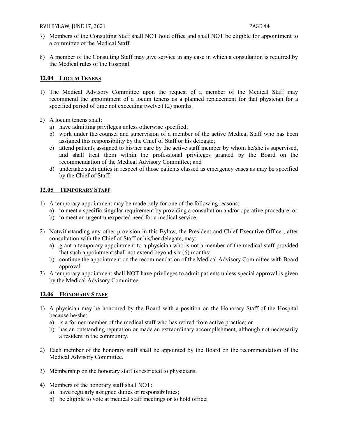#### RVH BYLAW, JUNE 17, 2021 **PAGE 44**

- 7) Members of the Consulting Staff shall NOT hold office and shall NOT be eligible for appointment to a committee of the Medical Staff.
- 8) A member of the Consulting Staff may give service in any case in which a consultation is required by the Medical rules of the Hospital.

#### <span id="page-44-0"></span>**12.04 LOCUM TENENS**

- 1) The Medical Advisory Committee upon the request of a member of the Medical Staff may recommend the appointment of a locum tenens as a planned replacement for that physician for a specified period of time not exceeding twelve (12) months.
- 2) A locum tenens shall:
	- a) have admitting privileges unless otherwise specified;
	- b) work under the counsel and supervision of a member of the active Medical Staff who has been assigned this responsibility by the Chief of Staff or his delegate;
	- c) attend patients assigned to his/her care by the active staff member by whom he/she is supervised, and shall treat them within the professional privileges granted by the Board on the recommendation of the Medical Advisory Committee; and
	- d) undertake such duties in respect of those patients classed as emergency cases as may be specified by the Chief of Staff.

#### <span id="page-44-1"></span>**12.05 TEMPORARY STAFF**

- 1) A temporary appointment may be made only for one of the following reasons:
	- a) to meet a specific singular requirement by providing a consultation and/or operative procedure; or
	- b) to meet an urgent unexpected need for a medical service.
- 2) Notwithstanding any other provision in this Bylaw, the President and Chief Executive Officer, after consultation with the Chief of Staff or his/her delegate, may:
	- a) grant a temporary appointment to a physician who is not a member of the medical staff provided that such appointment shall not extend beyond six (6) months;
	- b) continue the appointment on the recommendation of the Medical Advisory Committee with Board approval.
- 3) A temporary appointment shall NOT have privileges to admit patients unless special approval is given by the Medical Advisory Committee.

#### <span id="page-44-2"></span>**12.06 HONORARY STAFF**

- 1) A physician may be honoured by the Board with a position on the Honorary Staff of the Hospital because he/she:
	- a) is a former member of the medical staff who has retired from active practice; or
	- b) has an outstanding reputation or made an extraordinary accomplishment, although not necessarily a resident in the community.
- 2) Each member of the honorary staff shall be appointed by the Board on the recommendation of the Medical Advisory Committee.
- 3) Membership on the honorary staff is restricted to physicians.
- 4) Members of the honorary staff shall NOT:
	- a) have regularly assigned duties or responsibilities;
	- b) be eligible to vote at medical staff meetings or to hold office;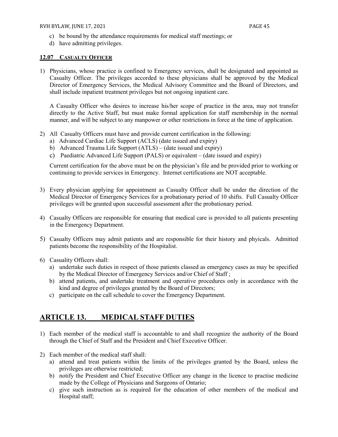- c) be bound by the attendance requirements for medical staff meetings; or
- d) have admitting privileges.

#### <span id="page-45-0"></span>**12.07 CASUALTY OFFICER**

1) Physicians, whose practice is confined to Emergency services, shall be designated and appointed as Casualty Officer. The privileges accorded to these physicians shall be approved by the Medical Director of Emergency Services, the Medical Advisory Committee and the Board of Directors, and shall include inpatient treatment privileges but not ongoing inpatient care.

A Casualty Officer who desires to increase his/her scope of practice in the area, may not transfer directly to the Active Staff, but must make formal application for staff membership in the normal manner, and will be subject to any manpower or other restrictions in force at the time of application.

- 2) All Casualty Officers must have and provide current certification in the following:
	- a) Advanced Cardiac Life Support (ACLS) (date issued and expiry)
	- b) Advanced Trauma Life Support (ATLS) (date issued and expiry)
	- c) Paediatric Advanced Life Support (PALS) or equivalent (date issued and expiry)

Current certification for the above must be on the physician's file and be provided prior to working or continuing to provide services in Emergency. Internet certifications are NOT acceptable.

- 3) Every physician applying for appointment as Casualty Officer shall be under the direction of the Medical Director of Emergency Services for a probationary period of 10 shifts. Full Casualty Officer privileges will be granted upon successful assessment after the probationary period.
- 4) Casualty Officers are responsible for ensuring that medical care is provided to all patients presenting in the Emergency Department.
- 5) Casualty Officers may admit patients and are responsible for their history and phyicals. Admitted patients become the responsibility of the Hospitalist.
- 6) Casuality Officers shall:
	- a) undertake such duties in respect of those patients classed as emergency cases as may be specified by the Medical Director of Emergency Services and/or Chief of Staff ;
	- b) attend patients, and undertake treatment and operative procedures only in accordance with the kind and degree of privileges granted by the Board of Directors;
	- c) participate on the call schedule to cover the Emergency Department.

# <span id="page-45-1"></span>**ARTICLE 13. MEDICAL STAFF DUTIES**

- 1) Each member of the medical staff is accountable to and shall recognize the authority of the Board through the Chief of Staff and the President and Chief Executive Officer.
- 2) Each member of the medical staff shall:
	- a) attend and treat patients within the limits of the privileges granted by the Board, unless the privileges are otherwise restricted;
	- b) notify the President and Chief Executive Officer any change in the licence to practise medicine made by the College of Physicians and Surgeons of Ontario;
	- c) give such instruction as is required for the education of other members of the medical and Hospital staff;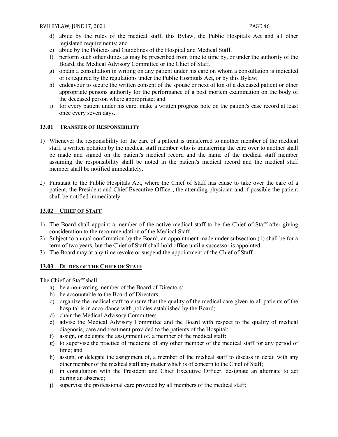- d) abide by the rules of the medical staff, this Bylaw, the Public Hospitals Act and all other legislated requirements; and
- e) abide by the Policies and Guidelines of the Hospital and Medical Staff.
- f) perform such other duties as may be prescribed from time to time by, or under the authority of the Board, the Medical Advisory Committee or the Chief of Staff.
- g) obtain a consultation in writing on any patient under his care on whom a consultation is indicated or is required by the regulations under the Public Hospitals Act, or by this Bylaw;
- h) endeavour to secure the written consent of the spouse or next of kin of a deceased patient or other appropriate persons authority for the performance of a post mortem examination on the body of the deceased person where appropriate; and
- i) for every patient under his care, make a written progress note on the patient's case record at least once every seven days.

#### <span id="page-46-0"></span>**13.01 TRANSFER OF RESPONSIBILITY**

- 1) Whenever the responsibility for the care of a patient is transferred to another member of the medical staff, a written notation by the medical staff member who is transferring the care over to another shall be made and signed on the patient's medical record and the name of the medical staff member assuming the responsibility shall be noted in the patient's medical record and the medical staff member shall be notified immediately.
- 2) Pursuant to the Public Hospitals Act, where the Chief of Staff has cause to take over the care of a patient, the President and Chief Executive Officer, the attending physician and if possible the patient shall be notified immediately.

#### <span id="page-46-1"></span>**13.02 CHIEF OF STAFF**

- 1) The Board shall appoint a member of the active medical staff to be the Chief of Staff after giving consideration to the recommendation of the Medical Staff.
- 2) Subject to annual confirmation by the Board, an appointment made under subsection (1) shall be for a term of two years, but the Chief of Staff shall hold office until a successor is appointed.
- 3) The Board may at any time revoke or suspend the appointment of the Chief of Staff.

#### <span id="page-46-2"></span>**13.03 DUTIES OF THE CHIEF OF STAFF**

The Chief of Staff shall:

- a) be a non-voting member of the Board of Directors;
- b) be accountable to the Board of Directors;
- c) organize the medical staff to ensure that the quality of the medical care given to all patients of the hospital is in accordance with policies established by the Board;
- d) chair the Medical Advisory Committee;
- e) advise the Medical Advisory Committee and the Board with respect to the quality of medical diagnosis, care and treatment provided to the patients of the Hospital;
- f) assign, or delegate the assignment of, a member of the medical staff:
- g) to supervise the practice of medicine of any other member of the medical staff for any period of time; and
- h) assign, or delegate the assignment of, a member of the medical staff to discuss in detail with any other member of the medical staff any matter which is of concern to the Chief of Staff;
- i) in consultation with the President and Chief Executive Officer, designate an alternate to act during an absence;
- j) supervise the professional care provided by all members of the medical staff;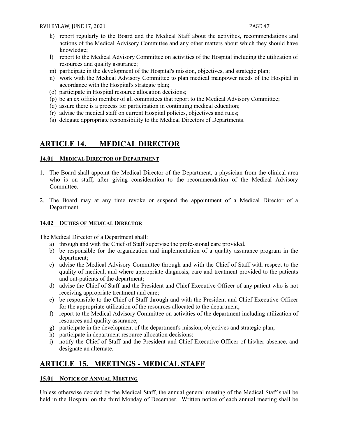- k) report regularly to the Board and the Medical Staff about the activities, recommendations and actions of the Medical Advisory Committee and any other matters about which they should have knowledge;
- l) report to the Medical Advisory Committee on activities of the Hospital including the utilization of resources and quality assurance;
- m) participate in the development of the Hospital's mission, objectives, and strategic plan;
- n) work with the Medical Advisory Committee to plan medical manpower needs of the Hospital in accordance with the Hospital's strategic plan;
- (o) participate in Hospital resource allocation decisions;
- (p) be an ex officio member of all committees that report to the Medical Advisory Committee;
- (q) assure there is a process for participation in continuing medical education;
- (r) advise the medical staff on current Hospital policies, objectives and rules;
- (s) delegate appropriate responsibility to the Medical Directors of Departments.

# <span id="page-47-0"></span>**ARTICLE 14. MEDICAL DIRECTOR**

#### <span id="page-47-1"></span>**14.01 MEDICAL DIRECTOR OF DEPARTMENT**

- 1. The Board shall appoint the Medical Director of the Department, a physician from the clinical area who is on staff, after giving consideration to the recommendation of the Medical Advisory Committee.
- 2. The Board may at any time revoke or suspend the appointment of a Medical Director of a Department.

#### <span id="page-47-2"></span>**14.02 DUTIES OF MEDICAL DIRECTOR**

The Medical Director of a Department shall:

- a) through and with the Chief of Staff supervise the professional care provided.
- b) be responsible for the organization and implementation of a quality assurance program in the department;
- c) advise the Medical Advisory Committee through and with the Chief of Staff with respect to the quality of medical, and where appropriate diagnosis, care and treatment provided to the patients and out-patients of the department;
- d) advise the Chief of Staff and the President and Chief Executive Officer of any patient who is not receiving appropriate treatment and care;
- e) be responsible to the Chief of Staff through and with the President and Chief Executive Officer for the appropriate utilization of the resources allocated to the department;
- f) report to the Medical Advisory Committee on activities of the department including utilization of resources and quality assurance;
- g) participate in the development of the department's mission, objectives and strategic plan;
- h) participate in department resource allocation decisions;
- i) notify the Chief of Staff and the President and Chief Executive Officer of his/her absence, and designate an alternate.

# <span id="page-47-3"></span>**ARTICLE 15. MEETINGS - MEDICAL STAFF**

#### <span id="page-47-4"></span>**15.01 NOTICE OF ANNUAL MEETING**

Unless otherwise decided by the Medical Staff, the annual general meeting of the Medical Staff shall be held in the Hospital on the third Monday of December. Written notice of each annual meeting shall be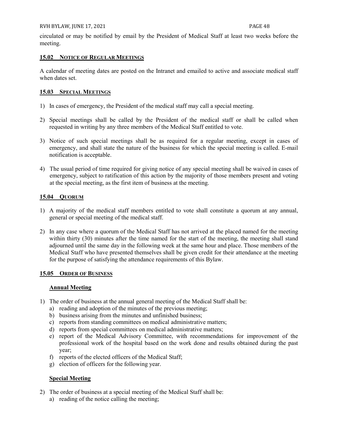circulated or may be notified by email by the President of Medical Staff at least two weeks before the meeting.

#### <span id="page-48-0"></span>**15.02 NOTICE OF REGULAR MEETINGS**

A calendar of meeting dates are posted on the Intranet and emailed to active and associate medical staff when dates set.

#### <span id="page-48-1"></span>**15.03 SPECIAL MEETINGS**

- 1) In cases of emergency, the President of the medical staff may call a special meeting.
- 2) Special meetings shall be called by the President of the medical staff or shall be called when requested in writing by any three members of the Medical Staff entitled to vote.
- 3) Notice of such special meetings shall be as required for a regular meeting, except in cases of emergency, and shall state the nature of the business for which the special meeting is called. E-mail notification is acceptable.
- 4) The usual period of time required for giving notice of any special meeting shall be waived in cases of emergency, subject to ratification of this action by the majority of those members present and voting at the special meeting, as the first item of business at the meeting.

#### <span id="page-48-2"></span>**15.04 QUORUM**

- 1) A majority of the medical staff members entitled to vote shall constitute a quorum at any annual, general or special meeting of the medical staff.
- 2) In any case where a quorum of the Medical Staff has not arrived at the placed named for the meeting within thirty (30) minutes after the time named for the start of the meeting, the meeting shall stand adjourned until the same day in the following week at the same hour and place. Those members of the Medical Staff who have presented themselves shall be given credit for their attendance at the meeting for the purpose of satisfying the attendance requirements of this Bylaw.

#### <span id="page-48-3"></span>**15.05 ORDER OF BUSINESS**

#### **Annual Meeting**

- 1) The order of business at the annual general meeting of the Medical Staff shall be:
	- a) reading and adoption of the minutes of the previous meeting;
	- b) business arising from the minutes and unfinished business;
	- c) reports from standing committees on medical administrative matters;
	- d) reports from special committees on medical administrative matters;
	- e) report of the Medical Advisory Committee, with recommendations for improvement of the professional work of the hospital based on the work done and results obtained during the past year;
	- f) reports of the elected officers of the Medical Staff;
	- g) election of officers for the following year.

#### **Special Meeting**

- 2) The order of business at a special meeting of the Medical Staff shall be:
	- a) reading of the notice calling the meeting;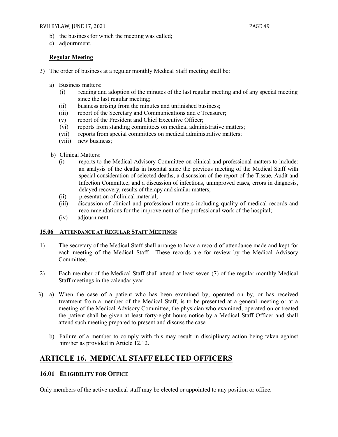#### RVH BYLAW, JUNE 17, 2021 **PAGE 49**

- b) the business for which the meeting was called;
- c) adjournment.

#### **Regular Meeting**

- 3) The order of business at a regular monthly Medical Staff meeting shall be:
	- a) Business matters:
		- (i) reading and adoption of the minutes of the last regular meeting and of any special meeting since the last regular meeting;
		- (ii) business arising from the minutes and unfinished business;
		- (iii) report of the Secretary and Communications and e Treasurer;
		- (v) report of the President and Chief Executive Officer;
		- (vi) reports from standing committees on medical administrative matters;
		- (vii) reports from special committees on medical administrative matters;
		- (viii) new business;
	- b) Clinical Matters:
		- (i) reports to the Medical Advisory Committee on clinical and professional matters to include: an analysis of the deaths in hospital since the previous meeting of the Medical Staff with special consideration of selected deaths; a discussion of the report of the Tissue, Audit and Infection Committee; and a discussion of infections, unimproved cases, errors in diagnosis, delayed recovery, results of therapy and similar matters;
		- (ii) presentation of clinical material;
		- (iii) discussion of clinical and professional matters including quality of medical records and recommendations for the improvement of the professional work of the hospital;
		- (iv) adjournment.

#### <span id="page-49-0"></span>**15.06 ATTENDANCE AT REGULAR STAFF MEETINGS**

- 1) The secretary of the Medical Staff shall arrange to have a record of attendance made and kept for each meeting of the Medical Staff. These records are for review by the Medical Advisory Committee.
- 2) Each member of the Medical Staff shall attend at least seven (7) of the regular monthly Medical Staff meetings in the calendar year.
- 3) a) When the case of a patient who has been examined by, operated on by, or has received treatment from a member of the Medical Staff, is to be presented at a general meeting or at a meeting of the Medical Advisory Committee, the physician who examined, operated on or treated the patient shall be given at least forty-eight hours notice by a Medical Staff Officer and shall attend such meeting prepared to present and discuss the case.
	- b) Failure of a member to comply with this may result in disciplinary action being taken against him/her as provided in Article 12.12.

# <span id="page-49-1"></span>**ARTICLE 16. MEDICAL STAFF ELECTED OFFICERS**

#### <span id="page-49-2"></span>**16.01 ELIGIBILITY FOR OFFICE**

Only members of the active medical staff may be elected or appointed to any position or office.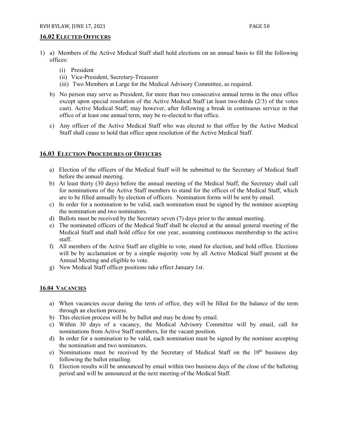#### <span id="page-50-0"></span>**16.02 ELECTED OFFICERS**

- 1) a) Members of the Active Medical Staff shall hold elections on an annual basis to fill the following offices:
	- (i) President
	- (ii) Vice-President, Secretary-Treasurer
	- (iii) Two Members at Large for the Medical Advisory Committee, as required.
	- b) No person may serve as President, for more than two consecutive annual terms in the once office except upon special resolution of the Active Medical Staff (at least two-thirds (2/3) of the votes cast). Active Medical Staff, may however, after following a break in continuous service in that office of at least one annual term, may be re-elected to that office.
	- c) Any officer of the Active Medical Staff who was elected to that office by the Active Medical Staff shall cease to hold that office upon resolution of the Active Medical Staff.

#### <span id="page-50-1"></span>**16.03 ELECTION PROCEDURES OF OFFICERS**

- a) Election of the officers of the Medical Staff will be submitted to the Secretary of Medical Staff before the annual meeting.
- b) At least thirty (30 days) before the annual meeting of the Medical Staff, the Secretary shall call for nominations of the Active Staff members to stand for the offices of the Medical Staff, which are to be filled annually by election of officers. Nomination forms will be sent by email.
- c) In order for a nomination to be valid, each nomination must be signed by the nominee accepting the nomination and two nominators.
- d) Ballots must be received by the Secretary seven (7) days prior to the annual meeting.
- e) The nominated officers of the Medical Staff shall be elected at the annual general meeting of the Medical Staff and shall hold office for one year, assuming continuous membership to the active staff.
- f) All members of the Active Staff are eligible to vote, stand for election, and hold office. Elections will be by acclamation or by a simple majority vote by all Active Medical Staff present at the Annual Meeting and eligible to vote.
- g) New Medical Staff officer positions take effect January 1st.

#### <span id="page-50-2"></span>**16.04 VACANCIES**

- a) When vacancies occur during the term of office, they will be filled for the balance of the term through an election process.
- b) This election process will be by ballot and may be done by email.
- c) Within 30 days of a vacancy, the Medical Advisory Committee will by email, call for nominations from Active Staff members, for the vacant position.
- d) In order for a nomination to be valid, each nomination must be signed by the nominee accepting the nomination and two nominators.
- e) Nominations must be received by the Secretary of Medical Staff on the  $10<sup>th</sup>$  business day following the ballot emailing.
- f) Election results will be announced by email within two business days of the close of the balloting period and will be announced at the next meeting of the Medical Staff.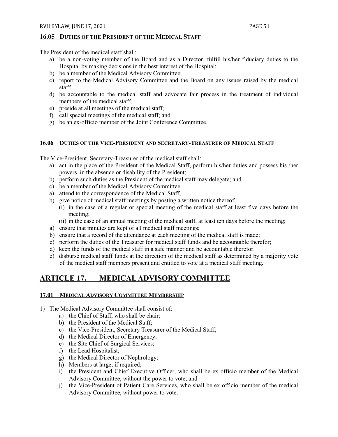#### <span id="page-51-0"></span>**16.05 DUTIES OF THE PRESIDENT OF THE MEDICAL STAFF**

The President of the medical staff shall:

- a) be a non-voting member of the Board and as a Director, fulfill his/her fiduciary duties to the Hospital by making decisions in the best interest of the Hospital;
- b) be a member of the Medical Advisory Committee;
- c) report to the Medical Advisory Committee and the Board on any issues raised by the medical staff;
- d) be accountable to the medical staff and advocate fair process in the treatment of individual members of the medical staff;
- e) preside at all meetings of the medical staff;
- f) call special meetings of the medical staff; and
- g) be an ex-officio member of the Joint Conference Committee.

#### <span id="page-51-1"></span>**16.06 DUTIES OF THE VICE-PRESIDENT AND SECRETARY-TREASURER OF MEDICAL STAFF**

The Vice-President, Secretary-Treasurer of the medical staff shall:

- a) act in the place of the President of the Medical Staff, perform his/her duties and possess his /her powers, in the absence or disability of the President;
- b) perform such duties as the President of the medical staff may delegate; and
- c) be a member of the Medical Advisory Committee
- a) attend to the correspondence of the Medical Staff;
- b) give notice of medical staff meetings by posting a written notice thereof;
	- (i) in the case of a regular or special meeting of the medical staff at least five days before the meeting;
		- (ii) in the case of an annual meeting of the medical staff, at least ten days before the meeting;
- a) ensure that minutes are kept of all medical staff meetings;
- b) ensure that a record of the attendance at each meeting of the medical staff is made;
- c) perform the duties of the Treasurer for medical staff funds and be accountable therefor;
- d) keep the funds of the medical staff in a safe manner and be accountable therefor.
- e) disburse medical staff funds at the direction of the medical staff as determined by a majority vote of the medical staff members present and entitled to vote at a medical staff meeting.

# <span id="page-51-2"></span>**ARTICLE 17. MEDICAL ADVISORY COMMITTEE**

#### <span id="page-51-3"></span>**17.01 MEDICAL ADVISORY COMMITTEE MEMBERSHIP**

- 1) The Medical Advisory Committee shall consist of:
	- a) the Chief of Staff, who shall be chair;
	- b) the President of the Medical Staff;
	- c) the Vice-President, Secretary Treasurer of the Medical Staff;
	- d) the Medical Director of Emergency;
	- e) the Site Chief of Surgical Services;
	- f) the Lead Hospitalist;
	- g) the Medical Director of Nephrology;
	- h) Members at large, if required;
	- i) the President and Chief Executive Officer, who shall be ex officio member of the Medical Advisory Committee, without the power to vote; and
	- j) the Vice-President of Patient Care Services, who shall be ex officio member of the medical Advisory Committee, without power to vote.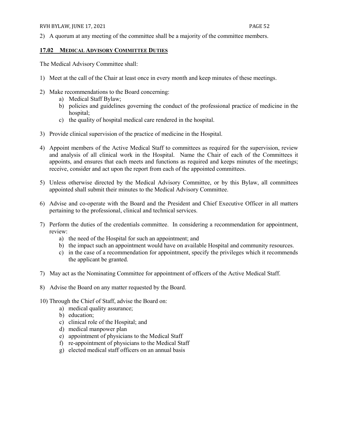2) A quorum at any meeting of the committee shall be a majority of the committee members.

#### <span id="page-52-0"></span>**17.02 MEDICAL ADVISORY COMMITTEE DUTIES**

The Medical Advisory Committee shall:

- 1) Meet at the call of the Chair at least once in every month and keep minutes of these meetings.
- 2) Make recommendations to the Board concerning:
	- a) Medical Staff Bylaw;
	- b) policies and guidelines governing the conduct of the professional practice of medicine in the hospital;
	- c) the quality of hospital medical care rendered in the hospital.
- 3) Provide clinical supervision of the practice of medicine in the Hospital.
- 4) Appoint members of the Active Medical Staff to committees as required for the supervision, review and analysis of all clinical work in the Hospital. Name the Chair of each of the Committees it appoints, and ensures that each meets and functions as required and keeps minutes of the meetings; receive, consider and act upon the report from each of the appointed committees.
- 5) Unless otherwise directed by the Medical Advisory Committee, or by this Bylaw, all committees appointed shall submit their minutes to the Medical Advisory Committee.
- 6) Advise and co-operate with the Board and the President and Chief Executive Officer in all matters pertaining to the professional, clinical and technical services.
- 7) Perform the duties of the credentials committee. In considering a recommendation for appointment, review:
	- a) the need of the Hospital for such an appointment; and
	- b) the impact such an appointment would have on available Hospital and community resources.
	- c) in the case of a recommendation for appointment, specify the privileges which it recommends the applicant be granted.
- 7) May act as the Nominating Committee for appointment of officers of the Active Medical Staff.
- 8) Advise the Board on any matter requested by the Board.
- 10) Through the Chief of Staff, advise the Board on:
	- a) medical quality assurance;
	- b) education;
	- c) clinical role of the Hospital; and
	- d) medical manpower plan
	- e) appointment of physicians to the Medical Staff
	- f) re-appointment of physicians to the Medical Staff
	- g) elected medical staff officers on an annual basis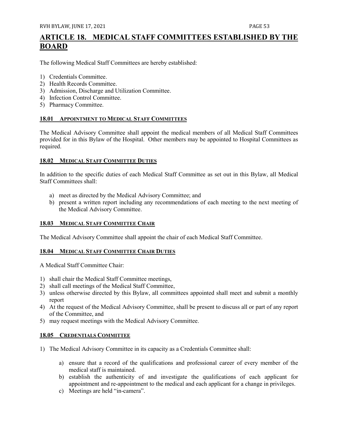# <span id="page-53-0"></span>**ARTICLE 18. MEDICAL STAFF COMMITTEES ESTABLISHED BY THE BOARD**

The following Medical Staff Committees are hereby established:

- 1) Credentials Committee.
- 2) Health Records Committee.
- 3) Admission, Discharge and Utilization Committee.
- 4) Infection Control Committee.
- 5) Pharmacy Committee.

#### <span id="page-53-1"></span>**18.01 APPOINTMENT TO MEDICAL STAFF COMMITTEES**

The Medical Advisory Committee shall appoint the medical members of all Medical Staff Committees provided for in this Bylaw of the Hospital. Other members may be appointed to Hospital Committees as required.

#### <span id="page-53-2"></span>**18.02 MEDICAL STAFF COMMITTEE DUTIES**

In addition to the specific duties of each Medical Staff Committee as set out in this Bylaw, all Medical Staff Committees shall:

- a) meet as directed by the Medical Advisory Committee; and
- b) present a written report including any recommendations of each meeting to the next meeting of the Medical Advisory Committee.

#### <span id="page-53-3"></span>**18.03 MEDICAL STAFF COMMITTEE CHAIR**

The Medical Advisory Committee shall appoint the chair of each Medical Staff Committee.

#### <span id="page-53-4"></span>**18.04 MEDICAL STAFF COMMITTEE CHAIR DUTIES**

A Medical Staff Committee Chair:

- 1) shall chair the Medical Staff Committee meetings,
- 2) shall call meetings of the Medical Staff Committee,
- 3) unless otherwise directed by this Bylaw, all committees appointed shall meet and submit a monthly report
- 4) At the request of the Medical Advisory Committee, shall be present to discuss all or part of any report of the Committee, and
- 5) may request meetings with the Medical Advisory Committee.

#### <span id="page-53-5"></span>**18.05 CREDENTIALS COMMITTEE**

- 1) The Medical Advisory Committee in its capacity as a Credentials Committee shall:
	- a) ensure that a record of the qualifications and professional career of every member of the medical staff is maintained.
	- b) establish the authenticity of and investigate the qualifications of each applicant for appointment and re-appointment to the medical and each applicant for a change in privileges.
	- c) Meetings are held "in-camera".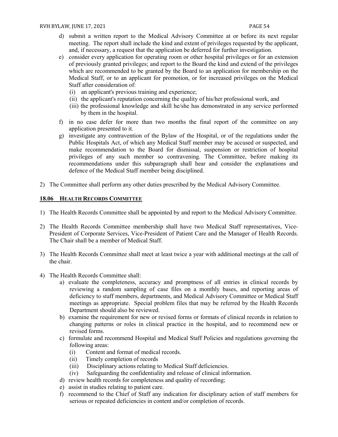- d) submit a written report to the Medical Advisory Committee at or before its next regular meeting. The report shall include the kind and extent of privileges requested by the applicant, and, if necessary, a request that the application be deferred for further investigation.
- e) consider every application for operating room or other hospital privileges or for an extension of previously granted privileges; and report to the Board the kind and extend of the privileges which are recommended to be granted by the Board to an application for membership on the Medical Staff, or to an applicant for promotion, or for increased privileges on the Medical Staff after consideration of:
	- (i) an applicant's previous training and experience;
	- (ii) the applicant's reputation concerning the quality of his/her professional work, and
	- (iii) the professional knowledge and skill he/she has demonstrated in any service performed by them in the hospital.
- f) in no case defer for more than two months the final report of the committee on any application presented to it.
- g) investigate any contravention of the Bylaw of the Hospital, or of the regulations under the Public Hospitals Act, of which any Medical Staff member may be accused or suspected, and make recommendation to the Board for dismissal, suspension or restriction of hospital privileges of any such member so contravening. The Committee, before making its recommendations under this subparagraph shall hear and consider the explanations and defence of the Medical Staff member being disciplined.
- 2) The Committee shall perform any other duties prescribed by the Medical Advisory Committee.

#### <span id="page-54-0"></span>**18.06 HEALTH RECORDS COMMITTEE**

- 1) The Health Records Committee shall be appointed by and report to the Medical Advisory Committee.
- 2) The Health Records Committee membership shall have two Medical Staff representatives, Vice-President of Corporate Services, Vice-President of Patient Care and the Manager of Health Records. The Chair shall be a member of Medical Staff.
- 3) The Health Records Committee shall meet at least twice a year with additional meetings at the call of the chair.
- 4) The Health Records Committee shall:
	- a) evaluate the completeness, accuracy and promptness of all entries in clinical records by reviewing a random sampling of case files on a monthly bases, and reporting areas of deficiency to staff members, departments, and Medical Advisory Committee or Medical Staff meetings as appropriate. Special problem files that may be referred by the Health Records Department should also be reviewed.
	- b) examine the requirement for new or revised forms or formats of clinical records in relation to changing patterns or roles in clinical practice in the hospital, and to recommend new or revised forms.
	- c) formulate and recommend Hospital and Medical Staff Policies and regulations governing the following areas:
		- (i) Content and format of medical records.
		- (ii) Timely completion of records
		- (iii) Disciplinary actions relating to Medical Staff deficiencies.
		- (iv) Safeguarding the confidentiality and release of clinical information.
	- d) review health records for completeness and quality of recording;
	- e) assist in studies relating to patient care.
	- f) recommend to the Chief of Staff any indication for disciplinary action of staff members for serious or repeated deficiencies in content and/or completion of records.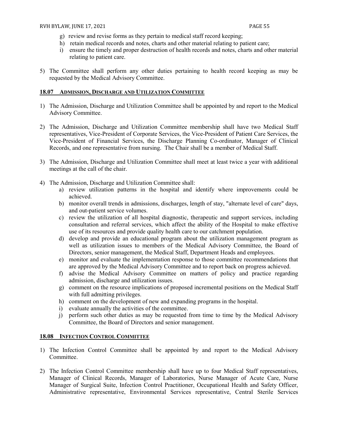- g) review and revise forms as they pertain to medical staff record keeping;
- h) retain medical records and notes, charts and other material relating to patient care;
- i) ensure the timely and proper destruction of health records and notes, charts and other material relating to patient care.
- 5) The Committee shall perform any other duties pertaining to health record keeping as may be requested by the Medical Advisory Committee.

#### <span id="page-55-0"></span>**18.07 ADMISSION, DISCHARGE AND UTILIZATION COMMITTEE**

- 1) The Admission, Discharge and Utilization Committee shall be appointed by and report to the Medical Advisory Committee.
- 2) The Admission, Discharge and Utilization Committee membership shall have two Medical Staff representatives, Vice-President of Corporate Services, the Vice-President of Patient Care Services, the Vice-President of Financial Services, the Discharge Planning Co-ordinator, Manager of Clinical Records, and one representative from nursing. The Chair shall be a member of Medical Staff.
- 3) The Admission, Discharge and Utilization Committee shall meet at least twice a year with additional meetings at the call of the chair.
- 4) The Admission, Discharge and Utilization Committee shall:
	- a) review utilization patterns in the hospital and identify where improvements could be achieved.
	- b) monitor overall trends in admissions, discharges, length of stay, "alternate level of care" days, and out-patient service volumes.
	- c) review the utilization of all hospital diagnostic, therapeutic and support services, including consultation and referral services, which affect the ability of the Hospital to make effective use of its resources and provide quality health care to our catchment population.
	- d) develop and provide an educational program about the utilization management program as well as utilization issues to members of the Medical Advisory Committee, the Board of Directors, senior management, the Medical Staff, Department Heads and employees.
	- e) monitor and evaluate the implementation response to those committee recommendations that are approved by the Medical Advisory Committee and to report back on progress achieved.
	- f) advise the Medical Advisory Committee on matters of policy and practice regarding admission, discharge and utilization issues.
	- g) comment on the resource implications of proposed incremental positions on the Medical Staff with full admitting privileges.
	- h) comment on the development of new and expanding programs in the hospital.
	- i) evaluate annually the activities of the committee.
	- j) perform such other duties as may be requested from time to time by the Medical Advisory Committee, the Board of Directors and senior management.

#### <span id="page-55-1"></span>**18.08 INFECTION CONTROL COMMITTEE**

- 1) The Infection Control Committee shall be appointed by and report to the Medical Advisory Committee.
- 2) The Infection Control Committee membership shall have up to four Medical Staff representatives, Manager of Clinical Records, Manager of Laboratories, Nurse Manager of Acute Care, Nurse Manager of Surgical Suite, Infection Control Practitioner, Occupational Health and Safety Officer, Administrative representative, Environmental Services representative, Central Sterile Services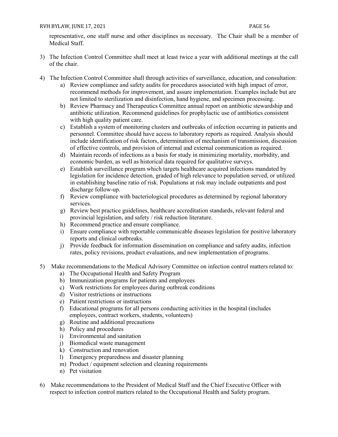#### RVH BYLAW, JUNE 17, 2021 **PAGE 56**

representative, one staff nurse and other disciplines as necessary. The Chair shall be a member of Medical Staff.

- 3) The Infection Control Committee shall meet at least twice a year with additional meetings at the call of the chair.
- 4) The Infection Control Committee shall through activities of surveillance, education, and consultation:
	- a) Review compliance and safety audits for procedures associated with high impact of error, recommend methods for improvement, and assure implementation. Examples include but are not limited to sterilization and disinfection, hand hygiene, and specimen processing.
	- b) Review Pharmacy and Therapeutics Committee annual report on antibiotic stewardship and antibiotic utilization. Recommend guidelines for prophylactic use of antibiotics consistent with high quality patient care.
	- c) Establish a system of monitoring clusters and outbreaks of infection occurring in patients and personnel. Committee should have access to laboratory reports as required. Analysis should include identification of risk factors, determination of mechanism of transmission, discussion of effective controls, and provision of internal and external communication as required.
	- d) Maintain records of infections as a basis for study in minimizing mortality, morbidity, and economic burden, as well as historical data required for qualitative surveys.
	- e) Establish surveillance program which targets healthcare acquired infections mandated by legislation for incidence detection, graded of high relevance to population served, or utilized in establishing baseline ratio of risk. Populations at risk may include outpatients and post discharge follow-up.
	- f) Review compliance with bacteriological procedures as determined by regional laboratory services.
	- g) Review best practice guidelines, healthcare accreditation standards, relevant federal and provincial legislation, and safety / risk reduction literature.
	- h) Recommend practice and ensure compliance.
	- i) Ensure compliance with reportable communicable diseases legislation for positive laboratory reports and clinical outbreaks.
	- j) Provide feedback for information dissemination on compliance and safety audits, infection rates, policy revisions, product evaluations, and new implementation of programs.
- 5) Make recommendations to the Medical Advisory Committee on infection control matters related to:
	- a) The Occupational Health and Safety Program
	- b) Immunization programs for patients and employees
	- c) Work restrictions for employees during outbreak conditions
	- d) Visitor restrictions or instructions
	- e) Patient restrictions or instructions
	- f) Educational programs for all persons conducting activities in the hospital (includes employees, contract workers, students, volunteers)
	- g) Routine and additional precautions
	- h) Policy and procedures
	- i) Environmental and sanitation
	- j) Biomedical waste management
	- k) Construction and renovation
	- l) Emergency preparedness and disaster planning
	- m) Product / equipment selection and cleaning requirements
	- n) Pet visitation
- 6) Make recommendations to the President of Medical Staff and the Chief Executive Officer with respect to infection control matters related to the Occupational Health and Safety program.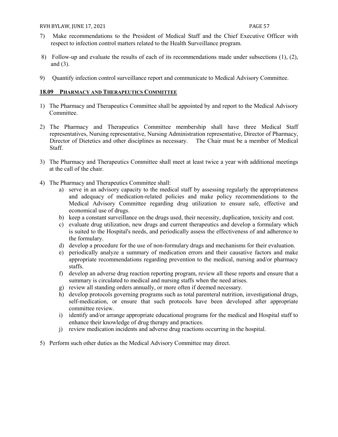- 7) Make recommendations to the President of Medical Staff and the Chief Executive Officer with respect to infection control matters related to the Health Surveillance program.
- 8) Follow-up and evaluate the results of each of its recommendations made under subsections (1), (2), and (3).
- 9) Quantify infection control surveillance report and communicate to Medical Advisory Committee.

#### <span id="page-57-0"></span>**18.09 PHARMACY AND THERAPEUTICS COMMITTEE**

- 1) The Pharmacy and Therapeutics Committee shall be appointed by and report to the Medical Advisory Committee.
- 2) The Pharmacy and Therapeutics Committee membership shall have three Medical Staff representatives, Nursing representative, Nursing Administration representative, Director of Pharmacy, Director of Dietetics and other disciplines as necessary. The Chair must be a member of Medical Staff.
- 3) The Pharmacy and Therapeutics Committee shall meet at least twice a year with additional meetings at the call of the chair.
- 4) The Pharmacy and Therapeutics Committee shall:
	- a) serve in an advisory capacity to the medical staff by assessing regularly the appropriateness and adequacy of medication-related policies and make policy recommendations to the Medical Advisory Committee regarding drug utilization to ensure safe, effective and economical use of drugs.
	- b) keep a constant surveillance on the drugs used, their necessity, duplication, toxicity and cost.
	- c) evaluate drug utilization, new drugs and current therapeutics and develop a formulary which is suited to the Hospital's needs, and periodically assess the effectiveness of and adherence to the formulary.
	- d) develop a procedure for the use of non-formulary drugs and mechanisms for their evaluation.
	- e) periodically analyze a summary of medication errors and their causative factors and make appropriate recommendations regarding prevention to the medical, nursing and/or pharmacy staffs.
	- f) develop an adverse drug reaction reporting program, review all these reports and ensure that a summary is circulated to medical and nursing staffs when the need arises.
	- g) review all standing orders annually, or more often if deemed necessary.
	- h) develop protocols governing programs such as total parenteral nutrition, investigational drugs, self-medication, or ensure that such protocols have been developed after appropriate committee review.
	- i) identify and/or arrange appropriate educational programs for the medical and Hospital staff to enhance their knowledge of drug therapy and practices.
	- j) review medication incidents and adverse drug reactions occurring in the hospital.
- 5) Perform such other duties as the Medical Advisory Committee may direct.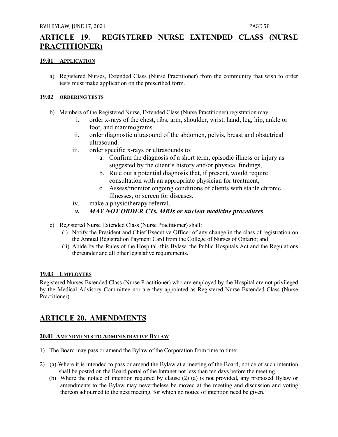# <span id="page-58-0"></span>**ARTICLE 19. REGISTERED NURSE EXTENDED CLASS (NURSE PRACTITIONER)**

#### <span id="page-58-1"></span>**19.01 APPLICATION**

a) Registered Nurses, Extended Class (Nurse Practitioner) from the community that wish to order tests must make application on the prescribed form.

#### <span id="page-58-2"></span>**19.02 ORDERING TESTS**

- b) Members of the Registered Nurse, Extended Class (Nurse Practitioner) registration may:
	- i. order x-rays of the chest, ribs, arm, shoulder, wrist, hand, leg, hip, ankle or foot, and mammograms
	- ii. order diagnostic ultrasound of the abdomen, pelvis, breast and obstetrical ultrasound.
	- iii. order specific x-rays or ultrasounds to:
		- a. Confirm the diagnosis of a short term, episodic illness or injury as suggested by the client's history and/or physical findings,
		- b. Rule out a potential diagnosis that, if present, would require consultation with an appropriate physician for treatment,
		- c. Assess/monitor ongoing conditions of clients with stable chronic illnesses, or screen for diseases.
	- iv. make a physiotherapy referral.

#### *v. MAY NOT ORDER CTs, MRIs or nuclear medicine procedures*

- c) Registered Nurse Extended Class (Nurse Practitioner) shall:
	- (i) Notify the President and Chief Executive Officer of any change in the class of registration on the Annual Registration Payment Card from the College of Nurses of Ontario; and
	- (ii) Abide by the Rules of the Hospital, this Bylaw, the Public Hospitals Act and the Regulations thereunder and all other legislative requirements.

#### <span id="page-58-3"></span>**19.03 EMPLOYEES**

Registered Nurses Extended Class (Nurse Practitioner) who are employed by the Hospital are not privileged by the Medical Advisory Committee nor are they appointed as Registered Nurse Extended Class (Nurse Practitioner).

# <span id="page-58-4"></span>**ARTICLE 20. AMENDMENTS**

#### <span id="page-58-5"></span>**20.01 AMENDMENTS TO ADMINISTRATIVE BYLAW**

- 1) The Board may pass or amend the Bylaw of the Corporation from time to time.
- 2) (a) Where it is intended to pass or amend the Bylaw at a meeting of the Board, notice of such intention shall be posted on the Board portal of the Intranet not less than ten days before the meeting.
	- (b) Where the notice of intention required by clause (2) (a) is not provided, any proposed Bylaw or amendments to the Bylaw may nevertheless be moved at the meeting and discussion and voting thereon adjourned to the next meeting, for which no notice of intention need be given.